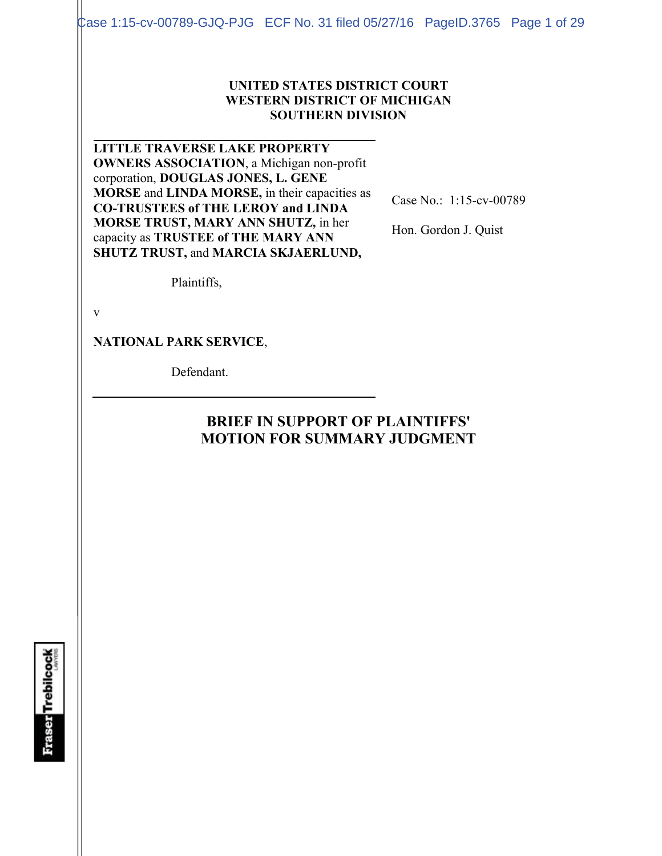Case 1:15-cv-00789-GJQ-PJG ECF No. 31 filed 05/27/16 PageID.3765 Page 1 of 29

#### **UNITED STATES DISTRICT COURT WESTERN DISTRICT OF MICHIGAN SOUTHERN DIVISION**

**LITTLE TRAVERSE LAKE PROPERTY OWNERS ASSOCIATION**, a Michigan non-profit corporation, **DOUGLAS JONES, L. GENE MORSE** and **LINDA MORSE,** in their capacities as **CO-TRUSTEES of THE LEROY and LINDA MORSE TRUST, MARY ANN SHUTZ,** in her capacity as **TRUSTEE of THE MARY ANN SHUTZ TRUST,** and **MARCIA SKJAERLUND,** 

Case No.: 1:15-cv-00789

Hon. Gordon J. Quist

Plaintiffs,

v

**NATIONAL PARK SERVICE**,

Defendant.

# **BRIEF IN SUPPORT OF PLAINTIFFS' MOTION FOR SUMMARY JUDGMENT**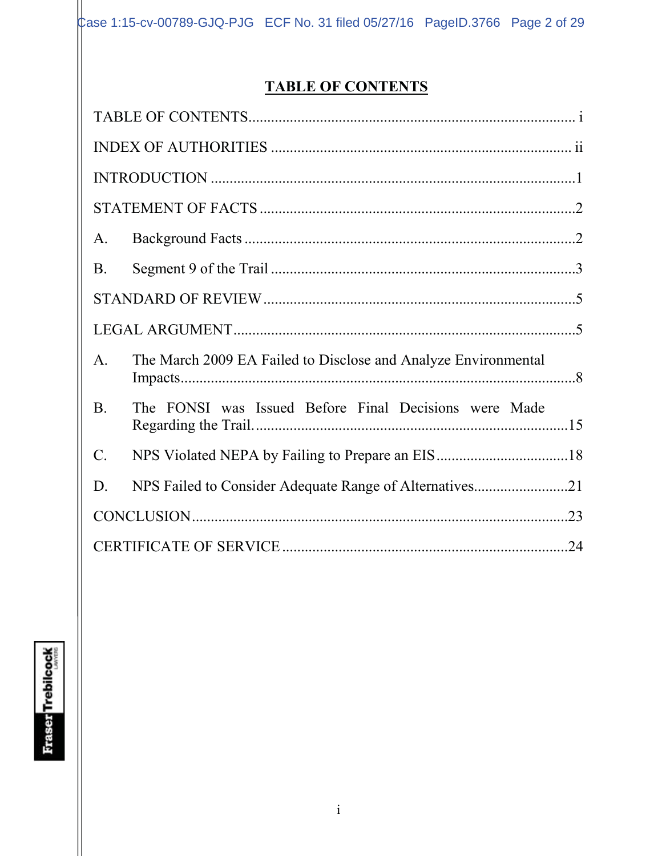# **TABLE OF CONTENTS**

| A.          |                                                                |  |  |  |
|-------------|----------------------------------------------------------------|--|--|--|
| <b>B.</b>   |                                                                |  |  |  |
|             |                                                                |  |  |  |
|             |                                                                |  |  |  |
| $A_{\cdot}$ | The March 2009 EA Failed to Disclose and Analyze Environmental |  |  |  |
| <b>B.</b>   | The FONSI was Issued Before Final Decisions were Made          |  |  |  |
| $C$ .       |                                                                |  |  |  |
| D.          | NPS Failed to Consider Adequate Range of Alternatives21        |  |  |  |
|             |                                                                |  |  |  |
|             |                                                                |  |  |  |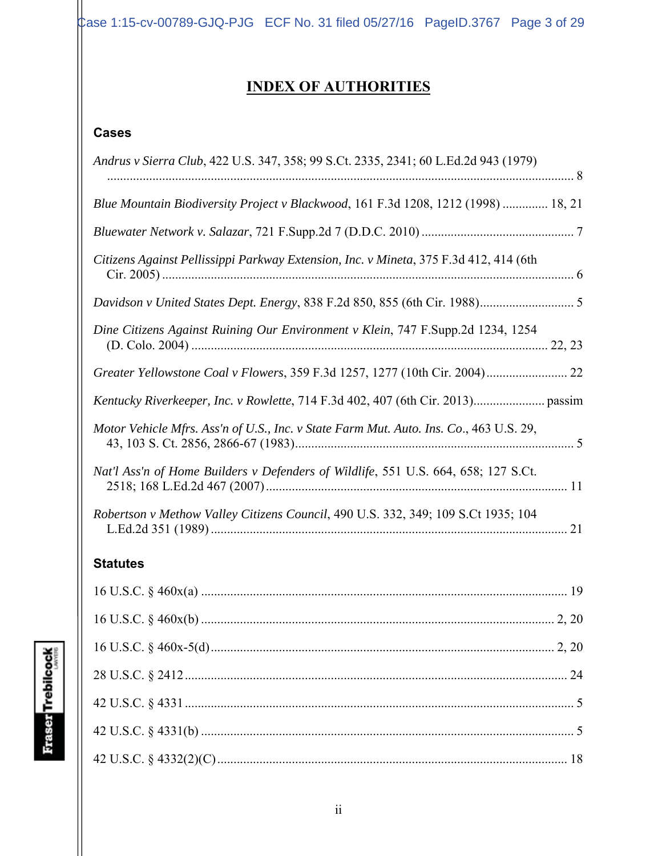$\text{Case 1:15-cv-00789-GJQ-PJG}$  ECF No. 31 filed 05/27/16 PageID.3767 Page 3 of 29

# **INDEX OF AUTHORITIES**

# **Cases**

| Andrus v Sierra Club, 422 U.S. 347, 358; 99 S.Ct. 2335, 2341; 60 L.Ed.2d 943 (1979)    |
|----------------------------------------------------------------------------------------|
| Blue Mountain Biodiversity Project v Blackwood, 161 F.3d 1208, 1212 (1998)  18, 21     |
|                                                                                        |
| Citizens Against Pellissippi Parkway Extension, Inc. v Mineta, 375 F.3d 412, 414 (6th  |
|                                                                                        |
| Dine Citizens Against Ruining Our Environment v Klein, 747 F.Supp.2d 1234, 1254        |
|                                                                                        |
|                                                                                        |
| Motor Vehicle Mfrs. Ass'n of U.S., Inc. v State Farm Mut. Auto. Ins. Co., 463 U.S. 29, |
| Nat'l Ass'n of Home Builders v Defenders of Wildlife, 551 U.S. 664, 658; 127 S.Ct.     |
| Robertson v Methow Valley Citizens Council, 490 U.S. 332, 349; 109 S.Ct 1935; 104      |

# **Statutes**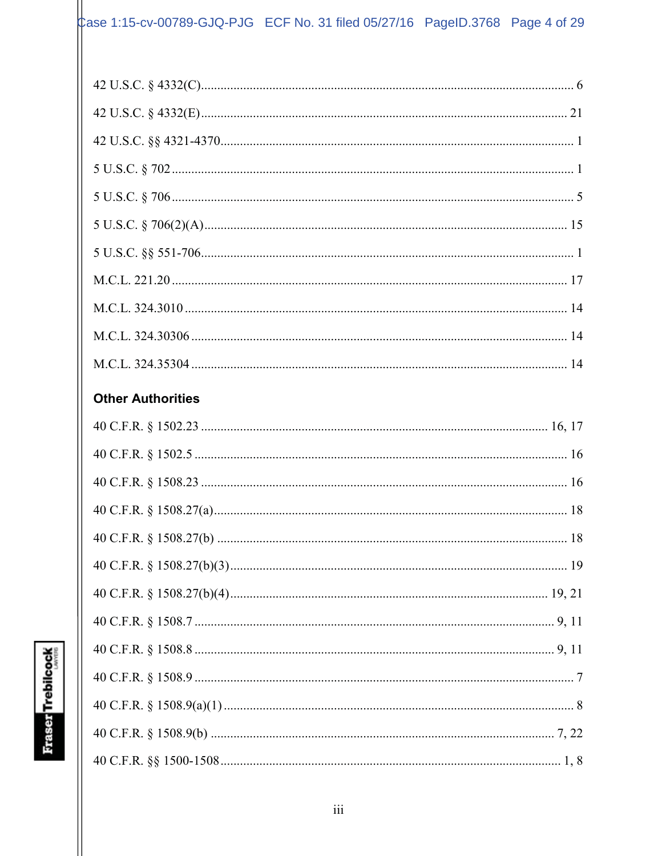# $\uparrow$  ase 1:15-cv-00789-GJQ-PJG ECF No. 31 filed 05/27/16 PageID.3768 Page 4 of 29

| <b>Other Authorities</b> |  |  |  |
|--------------------------|--|--|--|
|                          |  |  |  |
|                          |  |  |  |
|                          |  |  |  |
|                          |  |  |  |
|                          |  |  |  |
|                          |  |  |  |
|                          |  |  |  |
|                          |  |  |  |
|                          |  |  |  |
|                          |  |  |  |
|                          |  |  |  |
|                          |  |  |  |
|                          |  |  |  |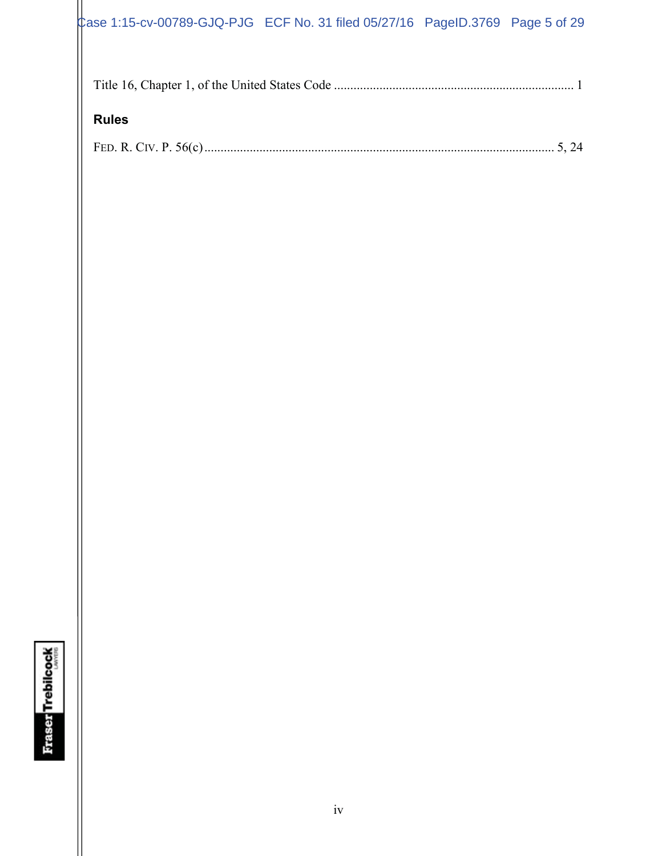# $\text{Case 1:15-cv-00789-GJQ-PJG}$  ECF No. 31 filed 05/27/16 PageID.3769 Page 5 of 29

# **Rules**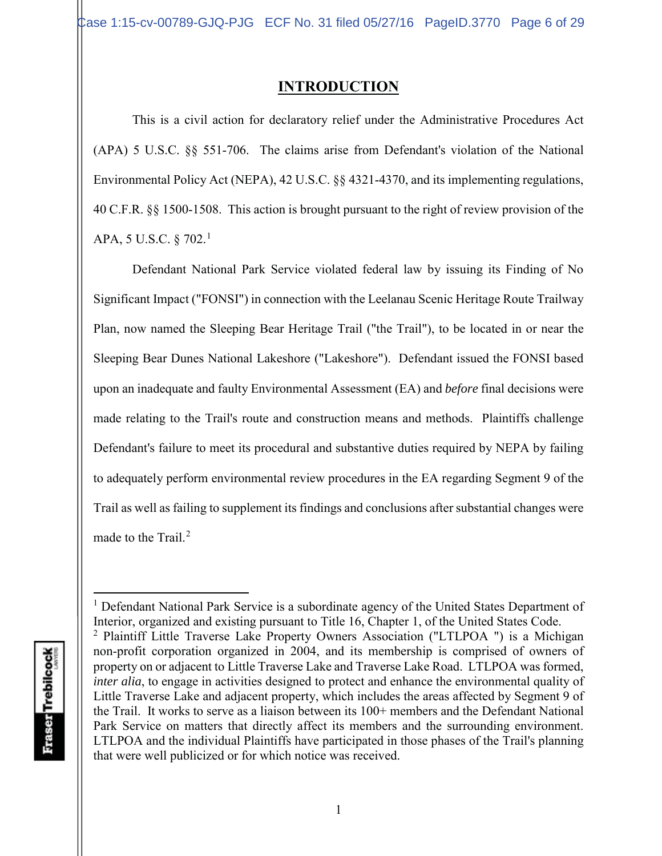# **INTRODUCTION**

This is a civil action for declaratory relief under the Administrative Procedures Act (APA) 5 U.S.C. §§ 551-706. The claims arise from Defendant's violation of the National Environmental Policy Act (NEPA), 42 U.S.C. §§ 4321-4370, and its implementing regulations, 40 C.F.R. §§ 1500-1508. This action is brought pursuant to the right of review provision of the APA, 5 U.S.C. § 702.<sup>1</sup>

Defendant National Park Service violated federal law by issuing its Finding of No Significant Impact ("FONSI") in connection with the Leelanau Scenic Heritage Route Trailway Plan, now named the Sleeping Bear Heritage Trail ("the Trail"), to be located in or near the Sleeping Bear Dunes National Lakeshore ("Lakeshore"). Defendant issued the FONSI based upon an inadequate and faulty Environmental Assessment (EA) and *before* final decisions were made relating to the Trail's route and construction means and methods. Plaintiffs challenge Defendant's failure to meet its procedural and substantive duties required by NEPA by failing to adequately perform environmental review procedures in the EA regarding Segment 9 of the Trail as well as failing to supplement its findings and conclusions after substantial changes were made to the Trail.<sup>2</sup>

<sup>&</sup>lt;sup>1</sup> Defendant National Park Service is a subordinate agency of the United States Department of Interior, organized and existing pursuant to Title 16, Chapter 1, of the United States Code. <sup>2</sup> Plaintiff Little Traverse Lake Property Owners Association ("LTLPOA ") is a Michigan non-profit corporation organized in 2004, and its membership is comprised of owners of property on or adjacent to Little Traverse Lake and Traverse Lake Road. LTLPOA was formed, *inter alia*, to engage in activities designed to protect and enhance the environmental quality of Little Traverse Lake and adjacent property, which includes the areas affected by Segment 9 of the Trail. It works to serve as a liaison between its 100+ members and the Defendant National Park Service on matters that directly affect its members and the surrounding environment. LTLPOA and the individual Plaintiffs have participated in those phases of the Trail's planning that were well publicized or for which notice was received.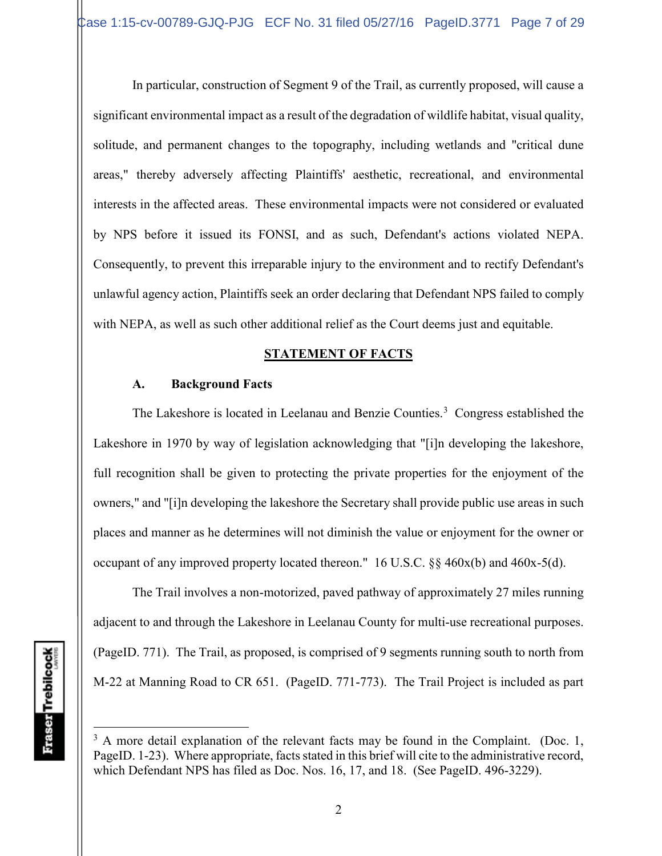In particular, construction of Segment 9 of the Trail, as currently proposed, will cause a significant environmental impact as a result of the degradation of wildlife habitat, visual quality, solitude, and permanent changes to the topography, including wetlands and "critical dune areas," thereby adversely affecting Plaintiffs' aesthetic, recreational, and environmental interests in the affected areas. These environmental impacts were not considered or evaluated by NPS before it issued its FONSI, and as such, Defendant's actions violated NEPA. Consequently, to prevent this irreparable injury to the environment and to rectify Defendant's unlawful agency action, Plaintiffs seek an order declaring that Defendant NPS failed to comply with NEPA, as well as such other additional relief as the Court deems just and equitable.

## **STATEMENT OF FACTS**

# **A. Background Facts**

The Lakeshore is located in Leelanau and Benzie Counties.<sup>3</sup> Congress established the Lakeshore in 1970 by way of legislation acknowledging that "[i]n developing the lakeshore, full recognition shall be given to protecting the private properties for the enjoyment of the owners," and "[i]n developing the lakeshore the Secretary shall provide public use areas in such places and manner as he determines will not diminish the value or enjoyment for the owner or occupant of any improved property located thereon." 16 U.S.C. §§ 460x(b) and 460x-5(d).

The Trail involves a non-motorized, paved pathway of approximately 27 miles running adjacent to and through the Lakeshore in Leelanau County for multi-use recreational purposes. (PageID. 771). The Trail, as proposed, is comprised of 9 segments running south to north from M-22 at Manning Road to CR 651. (PageID. 771-773). The Trail Project is included as part

 $3 \text{ A}$  more detail explanation of the relevant facts may be found in the Complaint. (Doc. 1, PageID. 1-23). Where appropriate, facts stated in this brief will cite to the administrative record, which Defendant NPS has filed as Doc. Nos. 16, 17, and 18. (See PageID. 496-3229).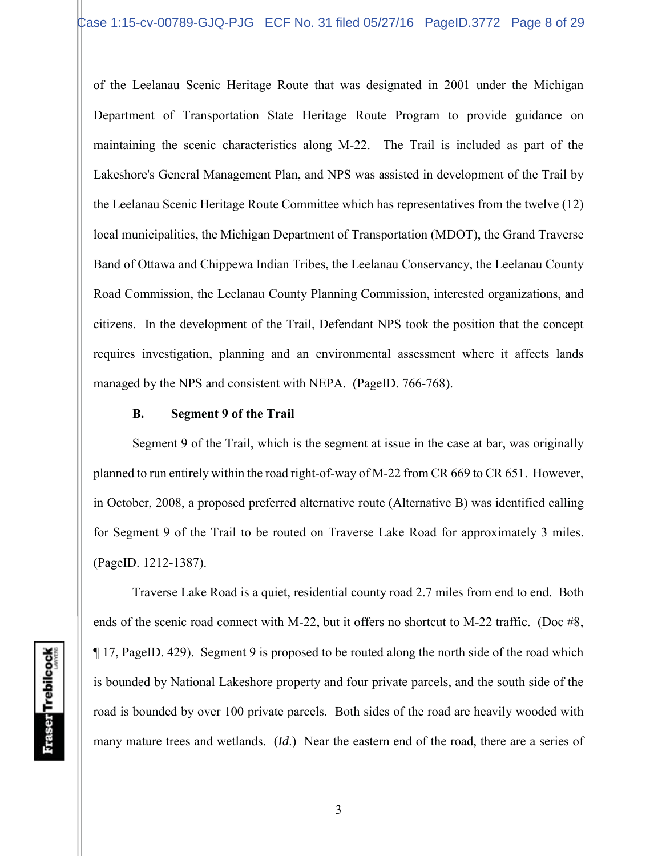of the Leelanau Scenic Heritage Route that was designated in 2001 under the Michigan Department of Transportation State Heritage Route Program to provide guidance on maintaining the scenic characteristics along M-22. The Trail is included as part of the Lakeshore's General Management Plan, and NPS was assisted in development of the Trail by the Leelanau Scenic Heritage Route Committee which has representatives from the twelve (12) local municipalities, the Michigan Department of Transportation (MDOT), the Grand Traverse Band of Ottawa and Chippewa Indian Tribes, the Leelanau Conservancy, the Leelanau County Road Commission, the Leelanau County Planning Commission, interested organizations, and citizens. In the development of the Trail, Defendant NPS took the position that the concept requires investigation, planning and an environmental assessment where it affects lands managed by the NPS and consistent with NEPA. (PageID. 766-768).

#### **B. Segment 9 of the Trail**

Segment 9 of the Trail, which is the segment at issue in the case at bar, was originally planned to run entirely within the road right-of-way of M-22 from CR 669 to CR 651. However, in October, 2008, a proposed preferred alternative route (Alternative B) was identified calling for Segment 9 of the Trail to be routed on Traverse Lake Road for approximately 3 miles. (PageID. 1212-1387).

Traverse Lake Road is a quiet, residential county road 2.7 miles from end to end. Both ends of the scenic road connect with M-22, but it offers no shortcut to M-22 traffic. (Doc #8, ¶ 17, PageID. 429). Segment 9 is proposed to be routed along the north side of the road which is bounded by National Lakeshore property and four private parcels, and the south side of the road is bounded by over 100 private parcels. Both sides of the road are heavily wooded with many mature trees and wetlands. (*Id*.) Near the eastern end of the road, there are a series of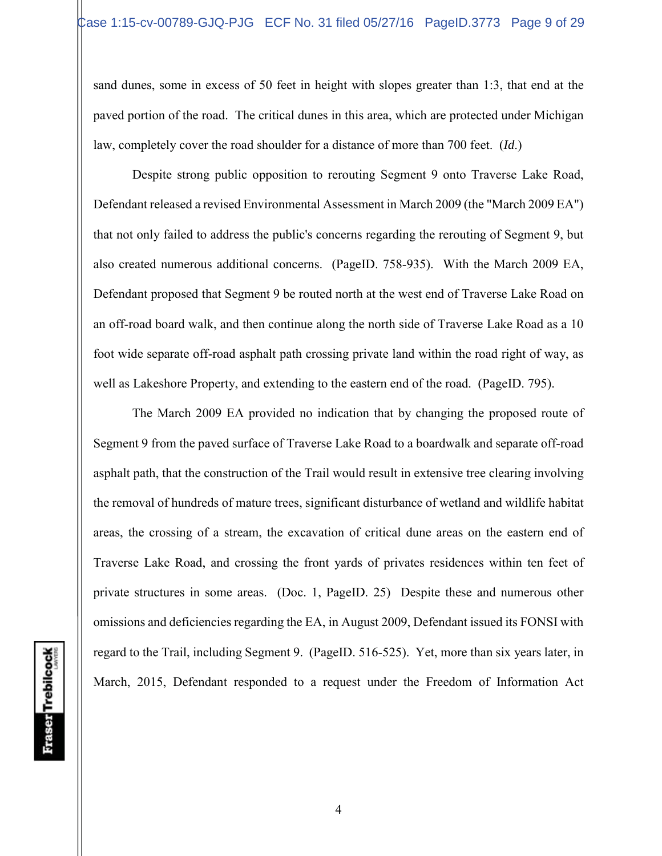sand dunes, some in excess of 50 feet in height with slopes greater than 1:3, that end at the paved portion of the road. The critical dunes in this area, which are protected under Michigan law, completely cover the road shoulder for a distance of more than 700 feet. (*Id*.)

Despite strong public opposition to rerouting Segment 9 onto Traverse Lake Road, Defendant released a revised Environmental Assessment in March 2009 (the "March 2009 EA") that not only failed to address the public's concerns regarding the rerouting of Segment 9, but also created numerous additional concerns. (PageID. 758-935). With the March 2009 EA, Defendant proposed that Segment 9 be routed north at the west end of Traverse Lake Road on an off-road board walk, and then continue along the north side of Traverse Lake Road as a 10 foot wide separate off-road asphalt path crossing private land within the road right of way, as well as Lakeshore Property, and extending to the eastern end of the road. (PageID. 795).

The March 2009 EA provided no indication that by changing the proposed route of Segment 9 from the paved surface of Traverse Lake Road to a boardwalk and separate off-road asphalt path, that the construction of the Trail would result in extensive tree clearing involving the removal of hundreds of mature trees, significant disturbance of wetland and wildlife habitat areas, the crossing of a stream, the excavation of critical dune areas on the eastern end of Traverse Lake Road, and crossing the front yards of privates residences within ten feet of private structures in some areas. (Doc. 1, PageID. 25) Despite these and numerous other omissions and deficiencies regarding the EA, in August 2009, Defendant issued its FONSI with regard to the Trail, including Segment 9. (PageID. 516-525). Yet, more than six years later, in March, 2015, Defendant responded to a request under the Freedom of Information Act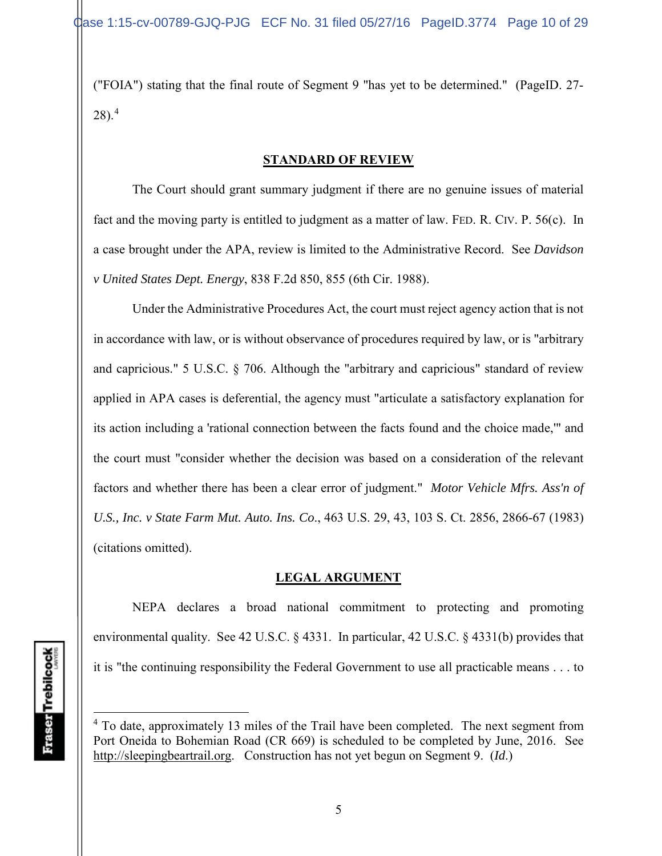("FOIA") stating that the final route of Segment 9 "has yet to be determined." (PageID. 27-  $28$ ).<sup>4</sup>

## **STANDARD OF REVIEW**

The Court should grant summary judgment if there are no genuine issues of material fact and the moving party is entitled to judgment as a matter of law. FED. R. CIV. P. 56(c). In a case brought under the APA, review is limited to the Administrative Record. See *Davidson v United States Dept. Energy*, 838 F.2d 850, 855 (6th Cir. 1988).

Under the Administrative Procedures Act, the court must reject agency action that is not in accordance with law, or is without observance of procedures required by law, or is "arbitrary and capricious." 5 U.S.C. § 706. Although the "arbitrary and capricious" standard of review applied in APA cases is deferential, the agency must "articulate a satisfactory explanation for its action including a 'rational connection between the facts found and the choice made,'" and the court must "consider whether the decision was based on a consideration of the relevant factors and whether there has been a clear error of judgment." *Motor Vehicle Mfrs. Ass'n of U.S., Inc. v State Farm Mut. Auto. Ins. Co*., 463 U.S. 29, 43, 103 S. Ct. 2856, 2866-67 (1983) (citations omitted).

## **LEGAL ARGUMENT**

NEPA declares a broad national commitment to protecting and promoting environmental quality. See 42 U.S.C. § 4331. In particular, 42 U.S.C. § 4331(b) provides that it is "the continuing responsibility the Federal Government to use all practicable means . . . to

 $4$  To date, approximately 13 miles of the Trail have been completed. The next segment from Port Oneida to Bohemian Road (CR 669) is scheduled to be completed by June, 2016. See http://sleepingbeartrail.org. Construction has not yet begun on Segment 9. (*Id*.)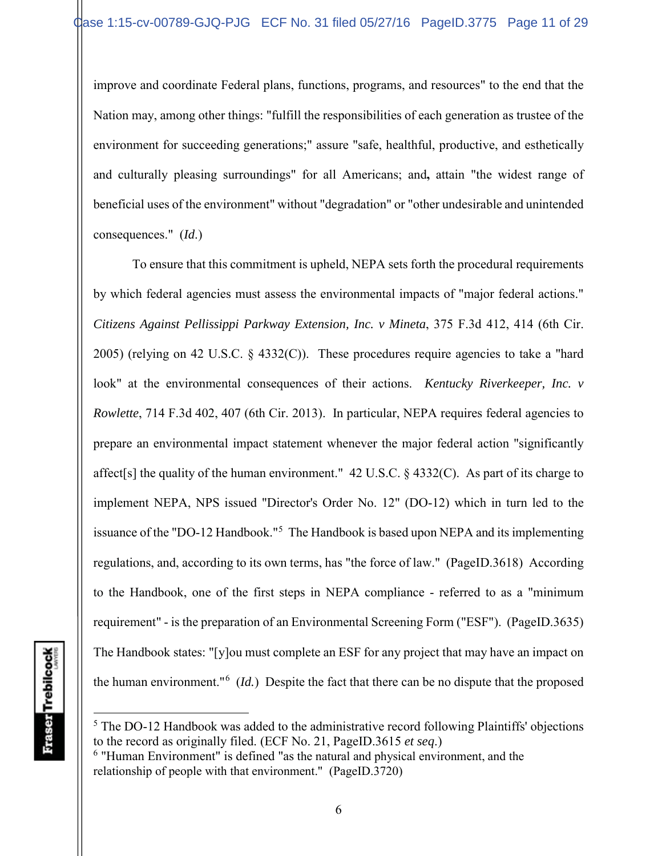improve and coordinate Federal plans, functions, programs, and resources" to the end that the Nation may, among other things: "fulfill the responsibilities of each generation as trustee of the environment for succeeding generations;" assure "safe, healthful, productive, and esthetically and culturally pleasing surroundings" for all Americans; and**,** attain "the widest range of beneficial uses of the environment" without "degradation" or "other undesirable and unintended consequences." (*Id*.)

To ensure that this commitment is upheld, NEPA sets forth the procedural requirements by which federal agencies must assess the environmental impacts of "major federal actions." *Citizens Against Pellissippi Parkway Extension, Inc. v Mineta*, 375 F.3d 412, 414 (6th Cir. 2005) (relying on 42 U.S.C.  $\S$  4332(C)). These procedures require agencies to take a "hard look" at the environmental consequences of their actions. *Kentucky Riverkeeper, Inc. v Rowlette*, 714 F.3d 402, 407 (6th Cir. 2013). In particular, NEPA requires federal agencies to prepare an environmental impact statement whenever the major federal action "significantly affect[s] the quality of the human environment."  $42 \text{ U.S.C.}$  §  $4332(\text{C})$ . As part of its charge to implement NEPA, NPS issued "Director's Order No. 12" (DO-12) which in turn led to the issuance of the "DO-12 Handbook."<sup>5</sup> The Handbook is based upon NEPA and its implementing regulations, and, according to its own terms, has "the force of law." (PageID.3618) According to the Handbook, one of the first steps in NEPA compliance - referred to as a "minimum requirement" - is the preparation of an Environmental Screening Form ("ESF"). (PageID.3635) The Handbook states: "[y]ou must complete an ESF for any project that may have an impact on the human environment."<sup>6</sup> (*Id.*) Despite the fact that there can be no dispute that the proposed

 $<sup>5</sup>$  The DO-12 Handbook was added to the administrative record following Plaintiffs' objections</sup> to the record as originally filed. (ECF No. 21, PageID.3615 *et seq*.)

<sup>6</sup> "Human Environment" is defined "as the natural and physical environment, and the relationship of people with that environment." (PageID.3720)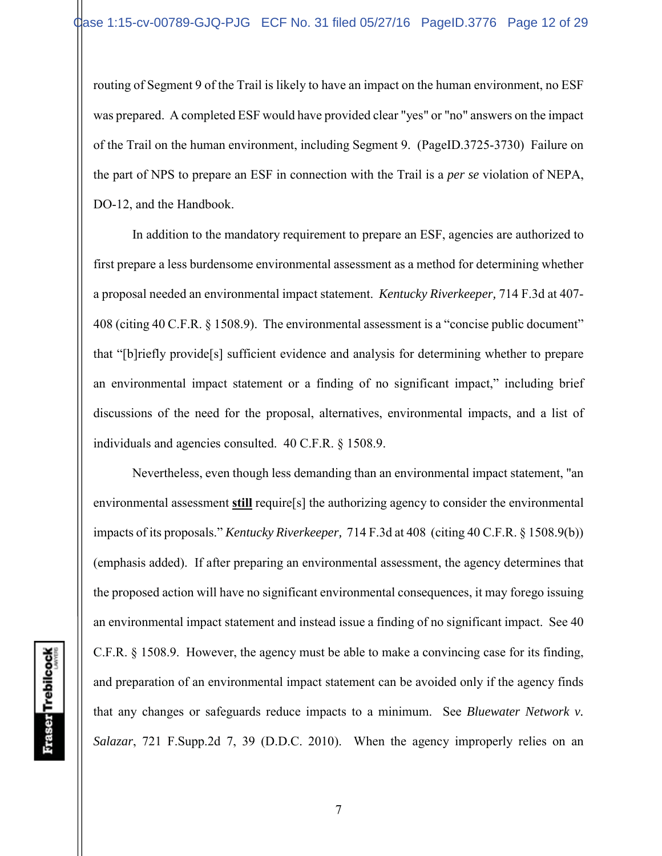routing of Segment 9 of the Trail is likely to have an impact on the human environment, no ESF was prepared. A completed ESF would have provided clear "yes" or "no" answers on the impact of the Trail on the human environment, including Segment 9. (PageID.3725-3730) Failure on the part of NPS to prepare an ESF in connection with the Trail is a *per se* violation of NEPA, DO-12, and the Handbook.

In addition to the mandatory requirement to prepare an ESF, agencies are authorized to first prepare a less burdensome environmental assessment as a method for determining whether a proposal needed an environmental impact statement. *Kentucky Riverkeeper,* 714 F.3d at 407- 408 (citing 40 C.F.R. § 1508.9). The environmental assessment is a "concise public document" that "[b]riefly provide[s] sufficient evidence and analysis for determining whether to prepare an environmental impact statement or a finding of no significant impact," including brief discussions of the need for the proposal, alternatives, environmental impacts, and a list of individuals and agencies consulted. 40 C.F.R. § 1508.9.

Nevertheless, even though less demanding than an environmental impact statement, "an environmental assessment **still** require[s] the authorizing agency to consider the environmental impacts of its proposals." *Kentucky Riverkeeper,* 714 F.3d at 408 (citing 40 C.F.R. § 1508.9(b)) (emphasis added). If after preparing an environmental assessment, the agency determines that the proposed action will have no significant environmental consequences, it may forego issuing an environmental impact statement and instead issue a finding of no significant impact. See 40 C.F.R. § 1508.9. However, the agency must be able to make a convincing case for its finding, and preparation of an environmental impact statement can be avoided only if the agency finds that any changes or safeguards reduce impacts to a minimum. See *Bluewater Network v. Salazar*, 721 F.Supp.2d 7, 39 (D.D.C. 2010). When the agency improperly relies on an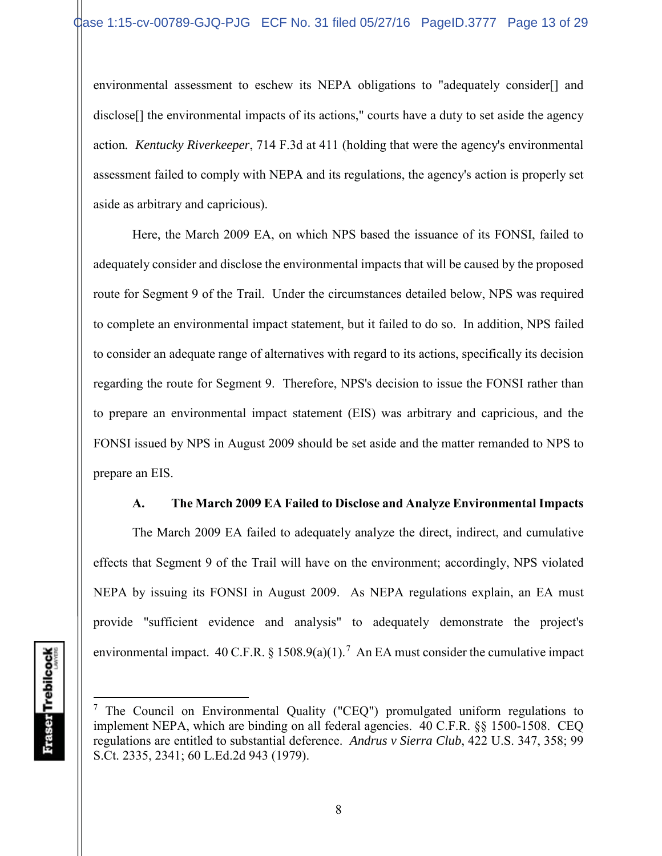environmental assessment to eschew its NEPA obligations to "adequately consider[] and disclose<sup>[]</sup> the environmental impacts of its actions," courts have a duty to set aside the agency action*. Kentucky Riverkeeper*, 714 F.3d at 411 (holding that were the agency's environmental assessment failed to comply with NEPA and its regulations, the agency's action is properly set aside as arbitrary and capricious).

Here, the March 2009 EA, on which NPS based the issuance of its FONSI, failed to adequately consider and disclose the environmental impacts that will be caused by the proposed route for Segment 9 of the Trail. Under the circumstances detailed below, NPS was required to complete an environmental impact statement, but it failed to do so. In addition, NPS failed to consider an adequate range of alternatives with regard to its actions, specifically its decision regarding the route for Segment 9. Therefore, NPS's decision to issue the FONSI rather than to prepare an environmental impact statement (EIS) was arbitrary and capricious, and the FONSI issued by NPS in August 2009 should be set aside and the matter remanded to NPS to prepare an EIS.

## **A. The March 2009 EA Failed to Disclose and Analyze Environmental Impacts**

The March 2009 EA failed to adequately analyze the direct, indirect, and cumulative effects that Segment 9 of the Trail will have on the environment; accordingly, NPS violated NEPA by issuing its FONSI in August 2009. As NEPA regulations explain, an EA must provide "sufficient evidence and analysis" to adequately demonstrate the project's environmental impact. 40 C.F.R. § 1508.9(a)(1).<sup>7</sup> An EA must consider the cumulative impact

<sup>&</sup>lt;sup>7</sup> The Council on Environmental Quality ("CEQ") promulgated uniform regulations to implement NEPA, which are binding on all federal agencies. 40 C.F.R. §§ 1500-1508. CEQ regulations are entitled to substantial deference. *Andrus v Sierra Club*, 422 U.S. 347, 358; 99 S.Ct. 2335, 2341; 60 L.Ed.2d 943 (1979).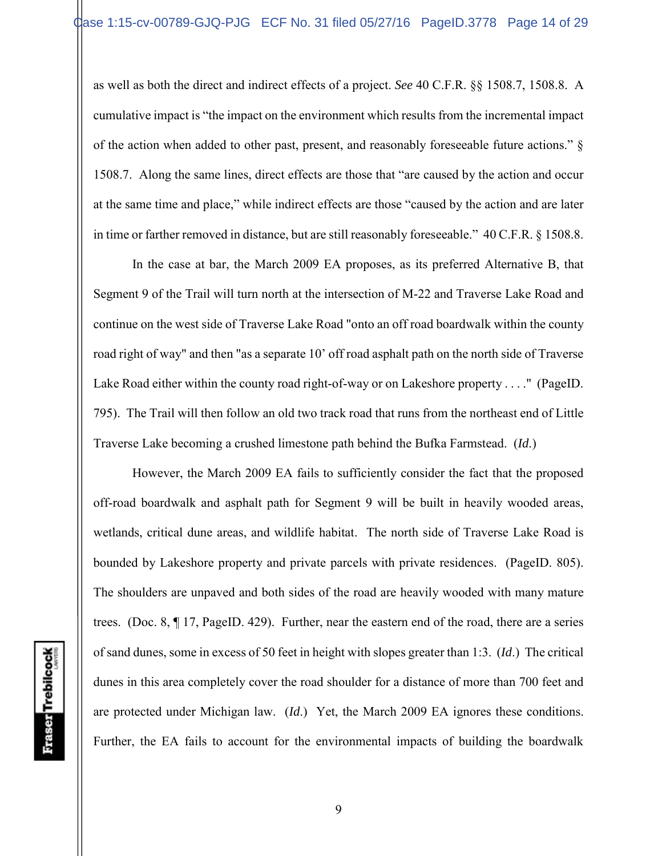as well as both the direct and indirect effects of a project. *See* 40 C.F.R. §§ 1508.7, 1508.8. A cumulative impact is "the impact on the environment which results from the incremental impact of the action when added to other past, present, and reasonably foreseeable future actions." § 1508.7. Along the same lines, direct effects are those that "are caused by the action and occur at the same time and place," while indirect effects are those "caused by the action and are later in time or farther removed in distance, but are still reasonably foreseeable." 40 C.F.R. § 1508.8.

In the case at bar, the March 2009 EA proposes, as its preferred Alternative B, that Segment 9 of the Trail will turn north at the intersection of M-22 and Traverse Lake Road and continue on the west side of Traverse Lake Road "onto an off road boardwalk within the county road right of way" and then "as a separate 10' off road asphalt path on the north side of Traverse Lake Road either within the county road right-of-way or on Lakeshore property . . . ." (PageID. 795). The Trail will then follow an old two track road that runs from the northeast end of Little Traverse Lake becoming a crushed limestone path behind the Bufka Farmstead. (*Id*.)

However, the March 2009 EA fails to sufficiently consider the fact that the proposed off-road boardwalk and asphalt path for Segment 9 will be built in heavily wooded areas, wetlands, critical dune areas, and wildlife habitat. The north side of Traverse Lake Road is bounded by Lakeshore property and private parcels with private residences. (PageID. 805). The shoulders are unpaved and both sides of the road are heavily wooded with many mature trees. (Doc. 8, ¶ 17, PageID. 429). Further, near the eastern end of the road, there are a series of sand dunes, some in excess of 50 feet in height with slopes greater than 1:3. (*Id*.) The critical dunes in this area completely cover the road shoulder for a distance of more than 700 feet and are protected under Michigan law. (*Id*.) Yet, the March 2009 EA ignores these conditions. Further, the EA fails to account for the environmental impacts of building the boardwalk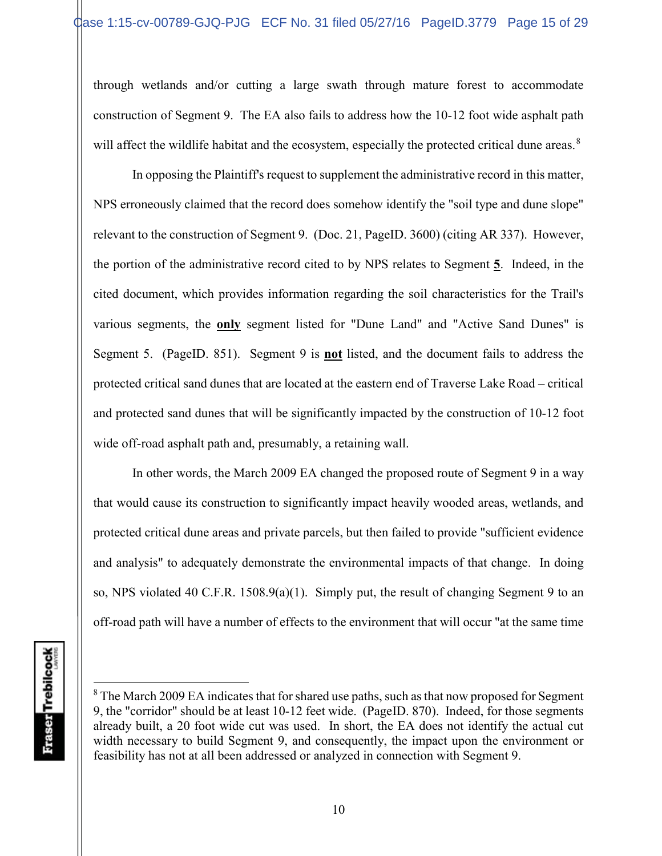through wetlands and/or cutting a large swath through mature forest to accommodate construction of Segment 9. The EA also fails to address how the 10-12 foot wide asphalt path will affect the wildlife habitat and the ecosystem, especially the protected critical dune areas.<sup>8</sup>

In opposing the Plaintiff's request to supplement the administrative record in this matter, NPS erroneously claimed that the record does somehow identify the "soil type and dune slope" relevant to the construction of Segment 9. (Doc. 21, PageID. 3600) (citing AR 337). However, the portion of the administrative record cited to by NPS relates to Segment **5**. Indeed, in the cited document, which provides information regarding the soil characteristics for the Trail's various segments, the **only** segment listed for "Dune Land" and "Active Sand Dunes" is Segment 5. (PageID. 851). Segment 9 is **not** listed, and the document fails to address the protected critical sand dunes that are located at the eastern end of Traverse Lake Road – critical and protected sand dunes that will be significantly impacted by the construction of 10-12 foot wide off-road asphalt path and, presumably, a retaining wall.

In other words, the March 2009 EA changed the proposed route of Segment 9 in a way that would cause its construction to significantly impact heavily wooded areas, wetlands, and protected critical dune areas and private parcels, but then failed to provide "sufficient evidence and analysis" to adequately demonstrate the environmental impacts of that change. In doing so, NPS violated 40 C.F.R. 1508.9(a)(1). Simply put, the result of changing Segment 9 to an off-road path will have a number of effects to the environment that will occur "at the same time

 $8$  The March 2009 EA indicates that for shared use paths, such as that now proposed for Segment 9, the "corridor" should be at least 10-12 feet wide. (PageID. 870). Indeed, for those segments already built, a 20 foot wide cut was used. In short, the EA does not identify the actual cut width necessary to build Segment 9, and consequently, the impact upon the environment or feasibility has not at all been addressed or analyzed in connection with Segment 9.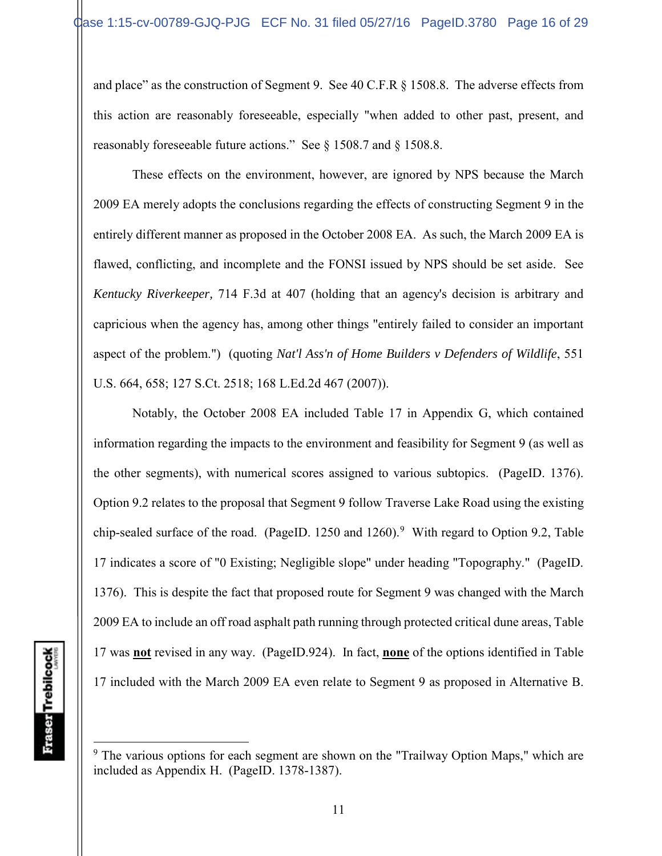and place" as the construction of Segment 9. See 40 C.F.R § 1508.8. The adverse effects from this action are reasonably foreseeable, especially "when added to other past, present, and reasonably foreseeable future actions." See § 1508.7 and § 1508.8.

These effects on the environment, however, are ignored by NPS because the March 2009 EA merely adopts the conclusions regarding the effects of constructing Segment 9 in the entirely different manner as proposed in the October 2008 EA. As such, the March 2009 EA is flawed, conflicting, and incomplete and the FONSI issued by NPS should be set aside. See *Kentucky Riverkeeper,* 714 F.3d at 407 (holding that an agency's decision is arbitrary and capricious when the agency has, among other things "entirely failed to consider an important aspect of the problem.") (quoting *Nat'l Ass'n of Home Builders v Defenders of Wildlife*, 551 U.S. 664, 658; 127 S.Ct. 2518; 168 L.Ed.2d 467 (2007)).

Notably, the October 2008 EA included Table 17 in Appendix G, which contained information regarding the impacts to the environment and feasibility for Segment 9 (as well as the other segments), with numerical scores assigned to various subtopics. (PageID. 1376). Option 9.2 relates to the proposal that Segment 9 follow Traverse Lake Road using the existing chip-sealed surface of the road. (PageID. 1250 and 1260).<sup>9</sup> With regard to Option 9.2, Table 17 indicates a score of "0 Existing; Negligible slope" under heading "Topography." (PageID. 1376). This is despite the fact that proposed route for Segment 9 was changed with the March 2009 EA to include an off road asphalt path running through protected critical dune areas, Table 17 was **not** revised in any way. (PageID.924). In fact, **none** of the options identified in Table 17 included with the March 2009 EA even relate to Segment 9 as proposed in Alternative B.

 $9$  The various options for each segment are shown on the "Trailway Option Maps," which are included as Appendix H. (PageID. 1378-1387).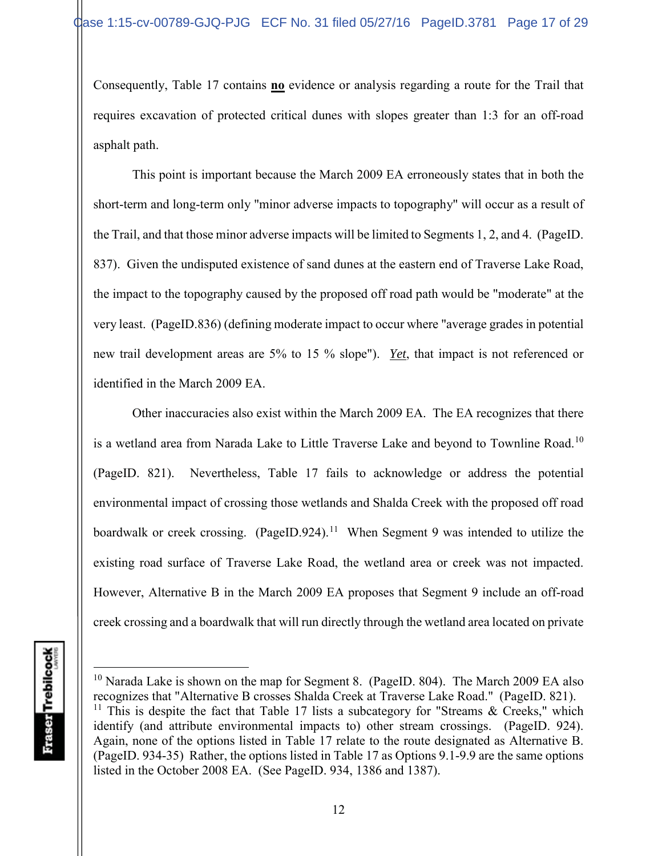Consequently, Table 17 contains **no** evidence or analysis regarding a route for the Trail that requires excavation of protected critical dunes with slopes greater than 1:3 for an off-road asphalt path.

This point is important because the March 2009 EA erroneously states that in both the short-term and long-term only "minor adverse impacts to topography" will occur as a result of the Trail, and that those minor adverse impacts will be limited to Segments 1, 2, and 4. (PageID. 837). Given the undisputed existence of sand dunes at the eastern end of Traverse Lake Road, the impact to the topography caused by the proposed off road path would be "moderate" at the very least. (PageID.836) (defining moderate impact to occur where "average grades in potential new trail development areas are 5% to 15 % slope"). *Yet*, that impact is not referenced or identified in the March 2009 EA.

Other inaccuracies also exist within the March 2009 EA. The EA recognizes that there is a wetland area from Narada Lake to Little Traverse Lake and beyond to Townline Road.<sup>10</sup> (PageID. 821). Nevertheless, Table 17 fails to acknowledge or address the potential environmental impact of crossing those wetlands and Shalda Creek with the proposed off road boardwalk or creek crossing. (PageID.924).<sup>11</sup> When Segment 9 was intended to utilize the existing road surface of Traverse Lake Road, the wetland area or creek was not impacted. However, Alternative B in the March 2009 EA proposes that Segment 9 include an off-road creek crossing and a boardwalk that will run directly through the wetland area located on private

<sup>&</sup>lt;sup>10</sup> Narada Lake is shown on the map for Segment 8. (PageID. 804). The March 2009 EA also recognizes that "Alternative B crosses Shalda Creek at Traverse Lake Road." (PageID. 821).

<sup>&</sup>lt;sup>11</sup> This is despite the fact that Table 17 lists a subcategory for "Streams & Creeks," which identify (and attribute environmental impacts to) other stream crossings. (PageID. 924). Again, none of the options listed in Table 17 relate to the route designated as Alternative B. (PageID. 934-35) Rather, the options listed in Table 17 as Options 9.1-9.9 are the same options listed in the October 2008 EA. (See PageID. 934, 1386 and 1387).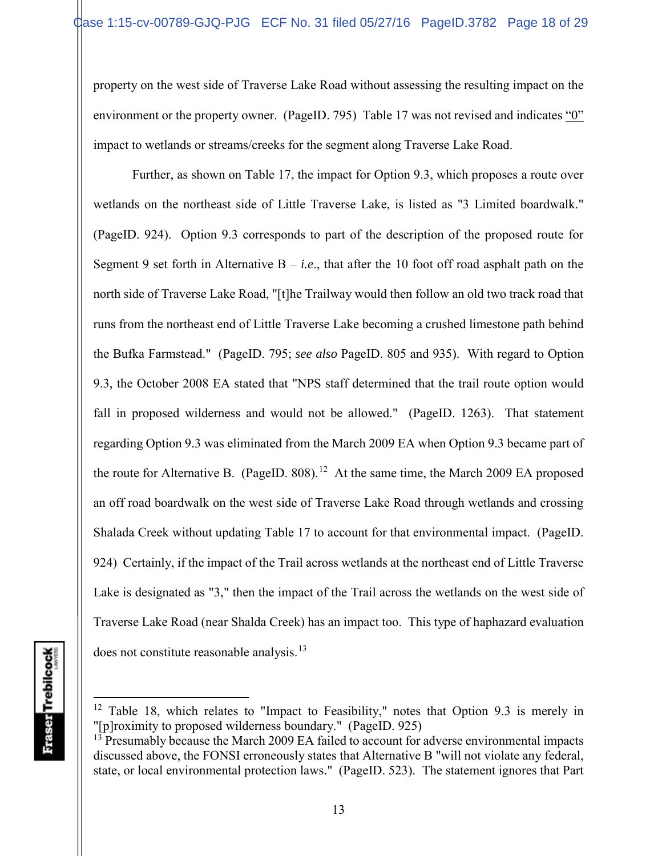property on the west side of Traverse Lake Road without assessing the resulting impact on the environment or the property owner. (PageID. 795) Table 17 was not revised and indicates "0" impact to wetlands or streams/creeks for the segment along Traverse Lake Road.

Further, as shown on Table 17, the impact for Option 9.3, which proposes a route over wetlands on the northeast side of Little Traverse Lake, is listed as "3 Limited boardwalk." (PageID. 924). Option 9.3 corresponds to part of the description of the proposed route for Segment 9 set forth in Alternative  $B - i.e.,$  that after the 10 foot off road asphalt path on the north side of Traverse Lake Road, "[t]he Trailway would then follow an old two track road that runs from the northeast end of Little Traverse Lake becoming a crushed limestone path behind the Bufka Farmstead." (PageID. 795; *see also* PageID. 805 and 935). With regard to Option 9.3, the October 2008 EA stated that "NPS staff determined that the trail route option would fall in proposed wilderness and would not be allowed." (PageID. 1263). That statement regarding Option 9.3 was eliminated from the March 2009 EA when Option 9.3 became part of the route for Alternative B. (PageID. 808).<sup>12</sup> At the same time, the March 2009 EA proposed an off road boardwalk on the west side of Traverse Lake Road through wetlands and crossing Shalada Creek without updating Table 17 to account for that environmental impact. (PageID. 924) Certainly, if the impact of the Trail across wetlands at the northeast end of Little Traverse Lake is designated as "3," then the impact of the Trail across the wetlands on the west side of Traverse Lake Road (near Shalda Creek) has an impact too. This type of haphazard evaluation does not constitute reasonable analysis.<sup>13</sup>

 $12$  Table 18, which relates to "Impact to Feasibility," notes that Option 9.3 is merely in "[p]roximity to proposed wilderness boundary." (PageID. 925)

 $13$  Presumably because the March 2009 EA failed to account for adverse environmental impacts discussed above, the FONSI erroneously states that Alternative B "will not violate any federal, state, or local environmental protection laws." (PageID. 523). The statement ignores that Part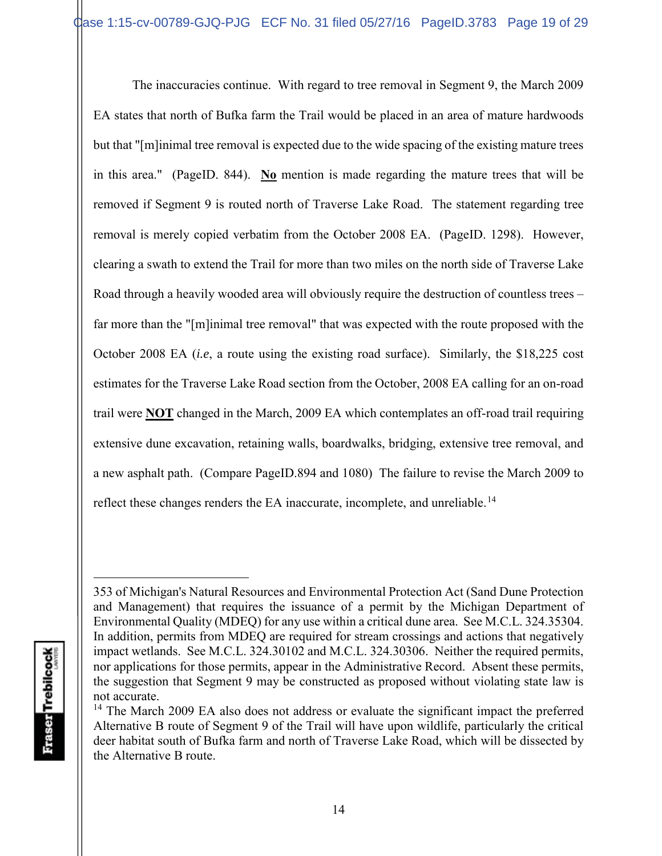The inaccuracies continue. With regard to tree removal in Segment 9, the March 2009 EA states that north of Bufka farm the Trail would be placed in an area of mature hardwoods but that "[m]inimal tree removal is expected due to the wide spacing of the existing mature trees in this area." (PageID. 844). **No** mention is made regarding the mature trees that will be removed if Segment 9 is routed north of Traverse Lake Road. The statement regarding tree removal is merely copied verbatim from the October 2008 EA. (PageID. 1298). However, clearing a swath to extend the Trail for more than two miles on the north side of Traverse Lake Road through a heavily wooded area will obviously require the destruction of countless trees – far more than the "[m]inimal tree removal" that was expected with the route proposed with the October 2008 EA (*i.e*, a route using the existing road surface). Similarly, the \$18,225 cost estimates for the Traverse Lake Road section from the October, 2008 EA calling for an on-road trail were **NOT** changed in the March, 2009 EA which contemplates an off-road trail requiring extensive dune excavation, retaining walls, boardwalks, bridging, extensive tree removal, and a new asphalt path. (Compare PageID.894 and 1080) The failure to revise the March 2009 to reflect these changes renders the EA inaccurate, incomplete, and unreliable.<sup>14</sup>

<sup>353</sup> of Michigan's Natural Resources and Environmental Protection Act (Sand Dune Protection and Management) that requires the issuance of a permit by the Michigan Department of Environmental Quality (MDEQ) for any use within a critical dune area. See M.C.L. 324.35304. In addition, permits from MDEQ are required for stream crossings and actions that negatively impact wetlands. See M.C.L. 324.30102 and M.C.L. 324.30306. Neither the required permits, nor applications for those permits, appear in the Administrative Record. Absent these permits, the suggestion that Segment 9 may be constructed as proposed without violating state law is not accurate.

<sup>&</sup>lt;sup>14</sup> The March 2009 EA also does not address or evaluate the significant impact the preferred Alternative B route of Segment 9 of the Trail will have upon wildlife, particularly the critical deer habitat south of Bufka farm and north of Traverse Lake Road, which will be dissected by the Alternative B route.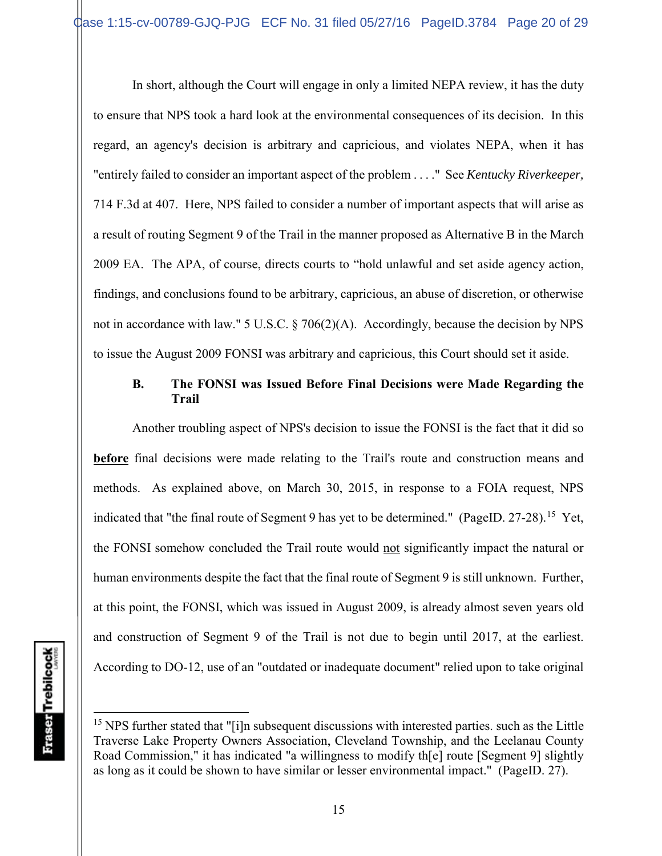In short, although the Court will engage in only a limited NEPA review, it has the duty to ensure that NPS took a hard look at the environmental consequences of its decision. In this regard, an agency's decision is arbitrary and capricious, and violates NEPA, when it has "entirely failed to consider an important aspect of the problem . . . ." See *Kentucky Riverkeeper,*  714 F.3d at 407. Here, NPS failed to consider a number of important aspects that will arise as a result of routing Segment 9 of the Trail in the manner proposed as Alternative B in the March 2009 EA. The APA, of course, directs courts to "hold unlawful and set aside agency action, findings, and conclusions found to be arbitrary, capricious, an abuse of discretion, or otherwise not in accordance with law." 5 U.S.C. § 706(2)(A). Accordingly, because the decision by NPS to issue the August 2009 FONSI was arbitrary and capricious, this Court should set it aside.

## **B. The FONSI was Issued Before Final Decisions were Made Regarding the Trail**

Another troubling aspect of NPS's decision to issue the FONSI is the fact that it did so **before** final decisions were made relating to the Trail's route and construction means and methods. As explained above, on March 30, 2015, in response to a FOIA request, NPS indicated that "the final route of Segment 9 has yet to be determined." (PageID.  $27-28$ ).<sup>15</sup> Yet, the FONSI somehow concluded the Trail route would not significantly impact the natural or human environments despite the fact that the final route of Segment 9 is still unknown. Further, at this point, the FONSI, which was issued in August 2009, is already almost seven years old and construction of Segment 9 of the Trail is not due to begin until 2017, at the earliest. According to DO-12, use of an "outdated or inadequate document" relied upon to take original

<sup>&</sup>lt;sup>15</sup> NPS further stated that "[i]n subsequent discussions with interested parties. such as the Little Traverse Lake Property Owners Association, Cleveland Township, and the Leelanau County Road Commission," it has indicated "a willingness to modify th[e] route [Segment 9] slightly as long as it could be shown to have similar or lesser environmental impact." (PageID. 27).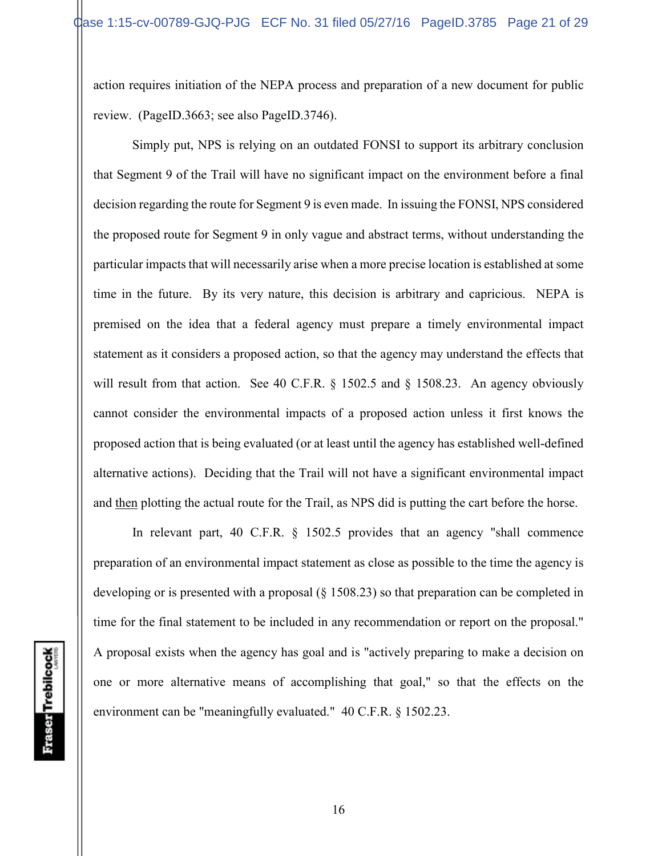action requires initiation of the NEPA process and preparation of a new document for public review. (PageID.3663; see also PageID.3746).

Simply put, NPS is relying on an outdated FONSI to support its arbitrary conclusion that Segment 9 of the Trail will have no significant impact on the environment before a final decision regarding the route for Segment 9 is even made. In issuing the FONSI, NPS considered the proposed route for Segment 9 in only vague and abstract terms, without understanding the particular impacts that will necessarily arise when a more precise location is established at some time in the future. By its very nature, this decision is arbitrary and capricious. NEPA is premised on the idea that a federal agency must prepare a timely environmental impact statement as it considers a proposed action, so that the agency may understand the effects that will result from that action. See 40 C.F.R. § 1502.5 and § 1508.23. An agency obviously cannot consider the environmental impacts of a proposed action unless it first knows the proposed action that is being evaluated (or at least until the agency has established well-defined alternative actions). Deciding that the Trail will not have a significant environmental impact and then plotting the actual route for the Trail, as NPS did is putting the cart before the horse.

In relevant part, 40 C.F.R. § 1502.5 provides that an agency "shall commence preparation of an environmental impact statement as close as possible to the time the agency is developing or is presented with a proposal (§ 1508.23) so that preparation can be completed in time for the final statement to be included in any recommendation or report on the proposal." A proposal exists when the agency has goal and is "actively preparing to make a decision on one or more alternative means of accomplishing that goal," so that the effects on the environment can be "meaningfully evaluated." 40 C.F.R. § 1502.23.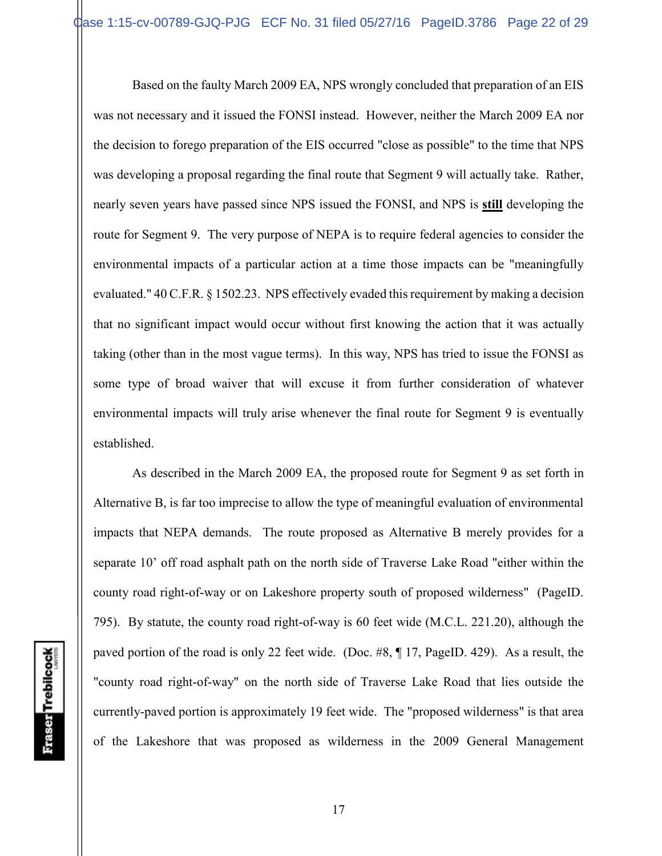Based on the faulty March 2009 EA, NPS wrongly concluded that preparation of an EIS was not necessary and it issued the FONSI instead. However, neither the March 2009 EA nor the decision to forego preparation of the EIS occurred "close as possible" to the time that NPS was developing a proposal regarding the final route that Segment 9 will actually take. Rather, nearly seven years have passed since NPS issued the FONSI, and NPS is **still** developing the route for Segment 9. The very purpose of NEPA is to require federal agencies to consider the environmental impacts of a particular action at a time those impacts can be "meaningfully evaluated." 40 C.F.R. § 1502.23. NPS effectively evaded this requirement by making a decision that no significant impact would occur without first knowing the action that it was actually taking (other than in the most vague terms). In this way, NPS has tried to issue the FONSI as some type of broad waiver that will excuse it from further consideration of whatever environmental impacts will truly arise whenever the final route for Segment 9 is eventually established.

As described in the March 2009 EA, the proposed route for Segment 9 as set forth in Alternative B, is far too imprecise to allow the type of meaningful evaluation of environmental impacts that NEPA demands. The route proposed as Alternative B merely provides for a separate 10' off road asphalt path on the north side of Traverse Lake Road "either within the county road right-of-way or on Lakeshore property south of proposed wilderness" (PageID. 795). By statute, the county road right-of-way is 60 feet wide (M.C.L. 221.20), although the paved portion of the road is only 22 feet wide. (Doc. #8, ¶ 17, PageID. 429). As a result, the "county road right-of-way" on the north side of Traverse Lake Road that lies outside the currently-paved portion is approximately 19 feet wide. The "proposed wilderness" is that area of the Lakeshore that was proposed as wilderness in the 2009 General Management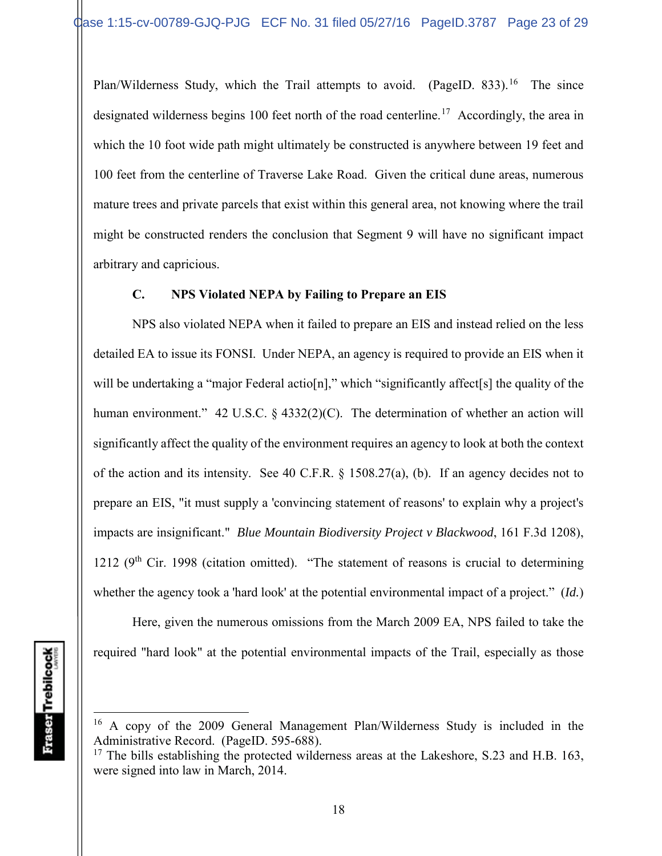Plan/Wilderness Study, which the Trail attempts to avoid. (PageID. 833).<sup>16</sup> The since designated wilderness begins 100 feet north of the road centerline.<sup>17</sup> Accordingly, the area in which the 10 foot wide path might ultimately be constructed is anywhere between 19 feet and 100 feet from the centerline of Traverse Lake Road. Given the critical dune areas, numerous mature trees and private parcels that exist within this general area, not knowing where the trail might be constructed renders the conclusion that Segment 9 will have no significant impact arbitrary and capricious.

## **C. NPS Violated NEPA by Failing to Prepare an EIS**

NPS also violated NEPA when it failed to prepare an EIS and instead relied on the less detailed EA to issue its FONSI. Under NEPA, an agency is required to provide an EIS when it will be undertaking a "major Federal actio[n]," which "significantly affect[s] the quality of the human environment." 42 U.S.C. § 4332(2)(C). The determination of whether an action will significantly affect the quality of the environment requires an agency to look at both the context of the action and its intensity. See 40 C.F.R. § 1508.27(a), (b). If an agency decides not to prepare an EIS, "it must supply a 'convincing statement of reasons' to explain why a project's impacts are insignificant." *Blue Mountain Biodiversity Project v Blackwood*, 161 F.3d 1208), 1212 ( $9<sup>th</sup>$  Cir. 1998 (citation omitted). "The statement of reasons is crucial to determining whether the agency took a 'hard look' at the potential environmental impact of a project." (*Id.*)

Here, given the numerous omissions from the March 2009 EA, NPS failed to take the required "hard look" at the potential environmental impacts of the Trail, especially as those

<sup>16</sup> A copy of the 2009 General Management Plan/Wilderness Study is included in the Administrative Record. (PageID. 595-688).

 $17$  The bills establishing the protected wilderness areas at the Lakeshore, S.23 and H.B. 163, were signed into law in March, 2014.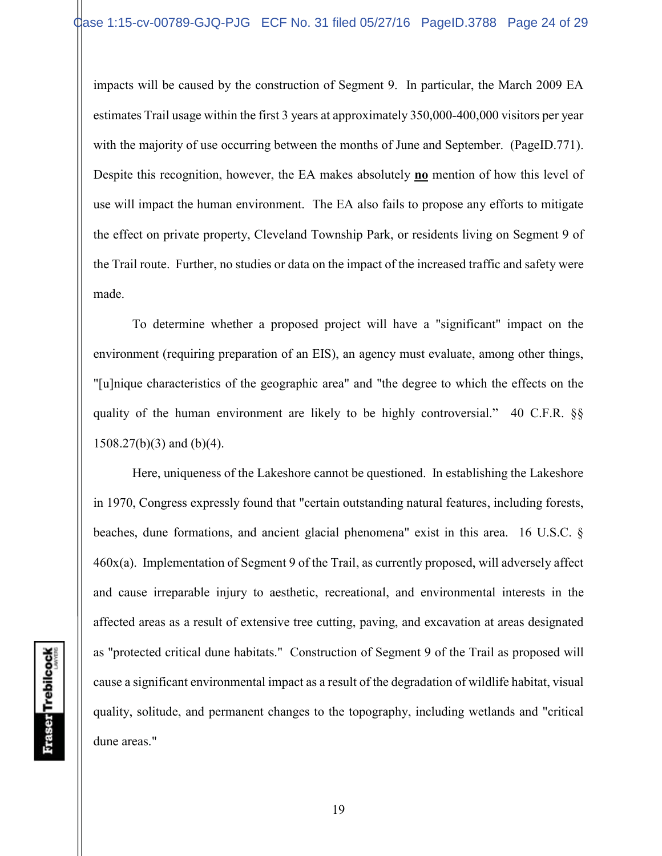impacts will be caused by the construction of Segment 9. In particular, the March 2009 EA estimates Trail usage within the first 3 years at approximately 350,000-400,000 visitors per year with the majority of use occurring between the months of June and September. (PageID.771). Despite this recognition, however, the EA makes absolutely **no** mention of how this level of use will impact the human environment. The EA also fails to propose any efforts to mitigate the effect on private property, Cleveland Township Park, or residents living on Segment 9 of the Trail route. Further, no studies or data on the impact of the increased traffic and safety were made.

To determine whether a proposed project will have a "significant" impact on the environment (requiring preparation of an EIS), an agency must evaluate, among other things, "[u]nique characteristics of the geographic area" and "the degree to which the effects on the quality of the human environment are likely to be highly controversial." 40 C.F.R. §§ 1508.27(b)(3) and (b)(4).

Here, uniqueness of the Lakeshore cannot be questioned. In establishing the Lakeshore in 1970, Congress expressly found that "certain outstanding natural features, including forests, beaches, dune formations, and ancient glacial phenomena" exist in this area. 16 U.S.C. § 460x(a). Implementation of Segment 9 of the Trail, as currently proposed, will adversely affect and cause irreparable injury to aesthetic, recreational, and environmental interests in the affected areas as a result of extensive tree cutting, paving, and excavation at areas designated as "protected critical dune habitats." Construction of Segment 9 of the Trail as proposed will cause a significant environmental impact as a result of the degradation of wildlife habitat, visual quality, solitude, and permanent changes to the topography, including wetlands and "critical dune areas."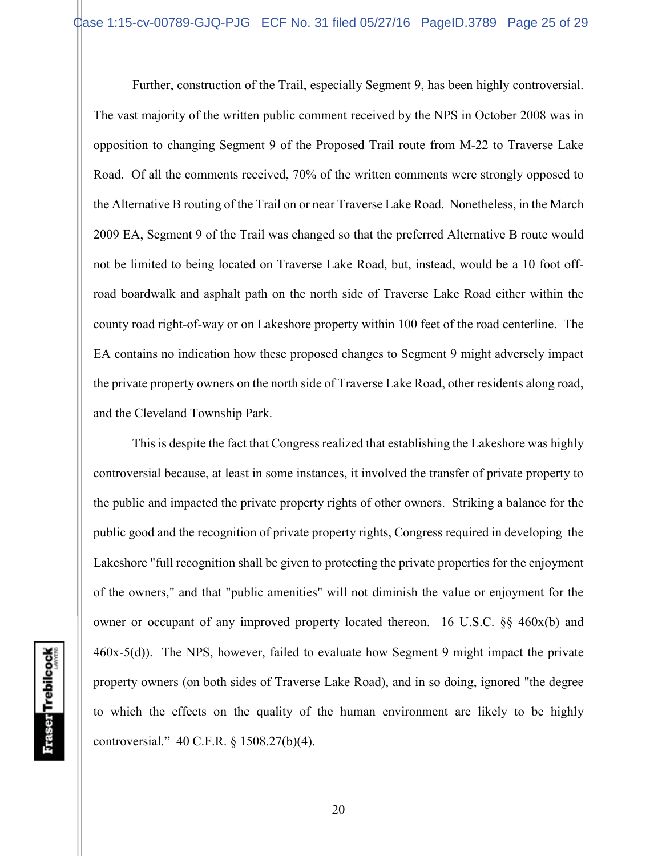Further, construction of the Trail, especially Segment 9, has been highly controversial. The vast majority of the written public comment received by the NPS in October 2008 was in opposition to changing Segment 9 of the Proposed Trail route from M-22 to Traverse Lake Road. Of all the comments received, 70% of the written comments were strongly opposed to the Alternative B routing of the Trail on or near Traverse Lake Road. Nonetheless, in the March 2009 EA, Segment 9 of the Trail was changed so that the preferred Alternative B route would not be limited to being located on Traverse Lake Road, but, instead, would be a 10 foot offroad boardwalk and asphalt path on the north side of Traverse Lake Road either within the county road right-of-way or on Lakeshore property within 100 feet of the road centerline. The EA contains no indication how these proposed changes to Segment 9 might adversely impact the private property owners on the north side of Traverse Lake Road, other residents along road, and the Cleveland Township Park.

This is despite the fact that Congress realized that establishing the Lakeshore was highly controversial because, at least in some instances, it involved the transfer of private property to the public and impacted the private property rights of other owners. Striking a balance for the public good and the recognition of private property rights, Congress required in developing the Lakeshore "full recognition shall be given to protecting the private properties for the enjoyment of the owners," and that "public amenities" will not diminish the value or enjoyment for the owner or occupant of any improved property located thereon. 16 U.S.C. §§ 460x(b) and 460x-5(d)). The NPS, however, failed to evaluate how Segment 9 might impact the private property owners (on both sides of Traverse Lake Road), and in so doing, ignored "the degree to which the effects on the quality of the human environment are likely to be highly controversial." 40 C.F.R. § 1508.27(b)(4).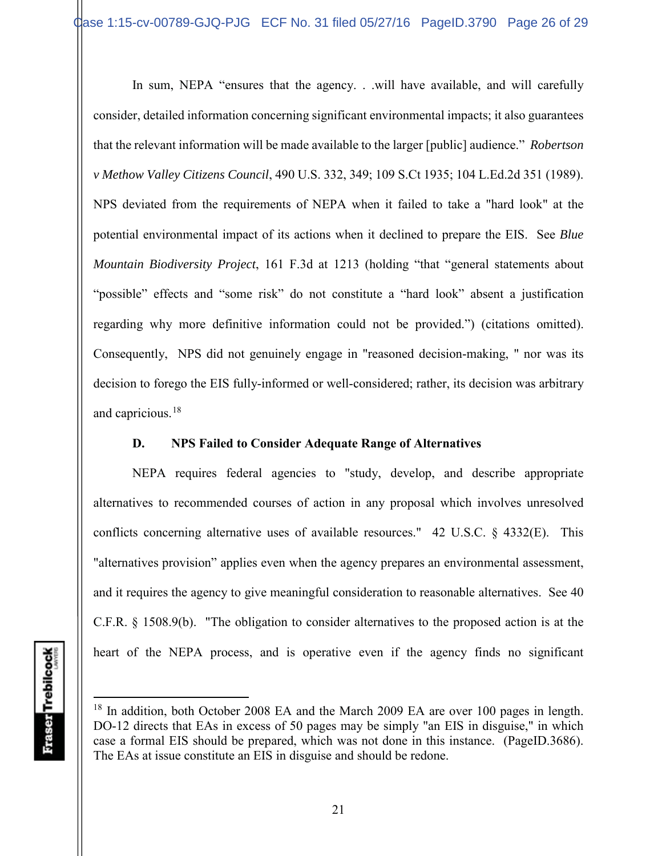In sum, NEPA "ensures that the agency. . .will have available, and will carefully consider, detailed information concerning significant environmental impacts; it also guarantees that the relevant information will be made available to the larger [public] audience." *Robertson v Methow Valley Citizens Council*, 490 U.S. 332, 349; 109 S.Ct 1935; 104 L.Ed.2d 351 (1989). NPS deviated from the requirements of NEPA when it failed to take a "hard look" at the potential environmental impact of its actions when it declined to prepare the EIS. See *Blue Mountain Biodiversity Project*, 161 F.3d at 1213 (holding "that "general statements about "possible" effects and "some risk" do not constitute a "hard look" absent a justification regarding why more definitive information could not be provided.") (citations omitted). Consequently, NPS did not genuinely engage in "reasoned decision-making, " nor was its decision to forego the EIS fully-informed or well-considered; rather, its decision was arbitrary and capricious.<sup>18</sup>

## **D. NPS Failed to Consider Adequate Range of Alternatives**

NEPA requires federal agencies to "study, develop, and describe appropriate alternatives to recommended courses of action in any proposal which involves unresolved conflicts concerning alternative uses of available resources." 42 U.S.C. § 4332(E). This "alternatives provision" applies even when the agency prepares an environmental assessment, and it requires the agency to give meaningful consideration to reasonable alternatives. See 40 C.F.R. § 1508.9(b). "The obligation to consider alternatives to the proposed action is at the heart of the NEPA process, and is operative even if the agency finds no significant

<sup>&</sup>lt;sup>18</sup> In addition, both October 2008 EA and the March 2009 EA are over 100 pages in length. DO-12 directs that EAs in excess of 50 pages may be simply "an EIS in disguise," in which case a formal EIS should be prepared, which was not done in this instance. (PageID.3686). The EAs at issue constitute an EIS in disguise and should be redone.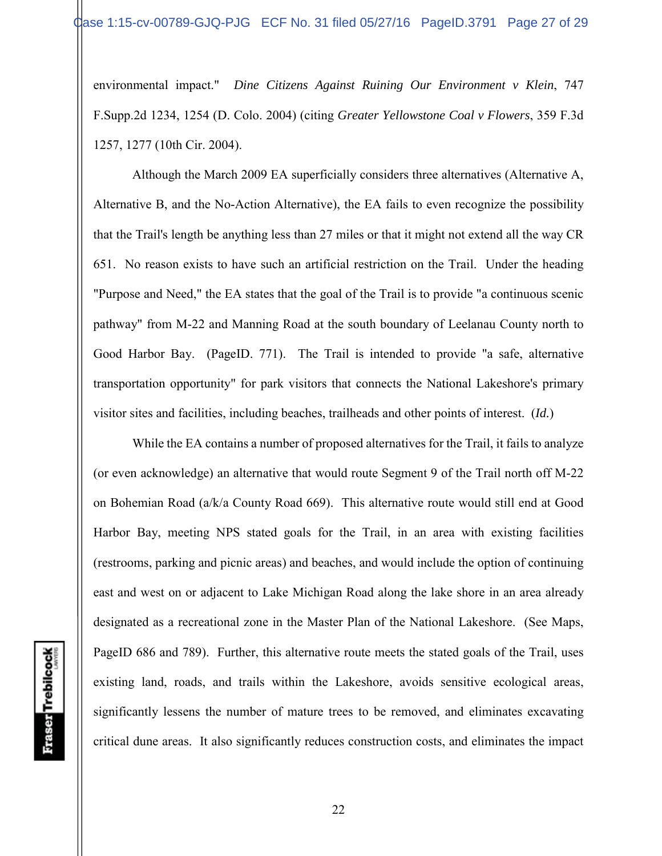environmental impact." *Dine Citizens Against Ruining Our Environment v Klein*, 747 F.Supp.2d 1234, 1254 (D. Colo. 2004) (citing *Greater Yellowstone Coal v Flowers*, 359 F.3d 1257, 1277 (10th Cir. 2004).

Although the March 2009 EA superficially considers three alternatives (Alternative A, Alternative B, and the No-Action Alternative), the EA fails to even recognize the possibility that the Trail's length be anything less than 27 miles or that it might not extend all the way CR 651. No reason exists to have such an artificial restriction on the Trail. Under the heading "Purpose and Need," the EA states that the goal of the Trail is to provide "a continuous scenic pathway" from M-22 and Manning Road at the south boundary of Leelanau County north to Good Harbor Bay. (PageID. 771). The Trail is intended to provide "a safe, alternative transportation opportunity" for park visitors that connects the National Lakeshore's primary visitor sites and facilities, including beaches, trailheads and other points of interest. (*Id.*)

While the EA contains a number of proposed alternatives for the Trail, it fails to analyze (or even acknowledge) an alternative that would route Segment 9 of the Trail north off M-22 on Bohemian Road (a/k/a County Road 669). This alternative route would still end at Good Harbor Bay, meeting NPS stated goals for the Trail, in an area with existing facilities (restrooms, parking and picnic areas) and beaches, and would include the option of continuing east and west on or adjacent to Lake Michigan Road along the lake shore in an area already designated as a recreational zone in the Master Plan of the National Lakeshore. (See Maps, PageID 686 and 789). Further, this alternative route meets the stated goals of the Trail, uses existing land, roads, and trails within the Lakeshore, avoids sensitive ecological areas, significantly lessens the number of mature trees to be removed, and eliminates excavating critical dune areas. It also significantly reduces construction costs, and eliminates the impact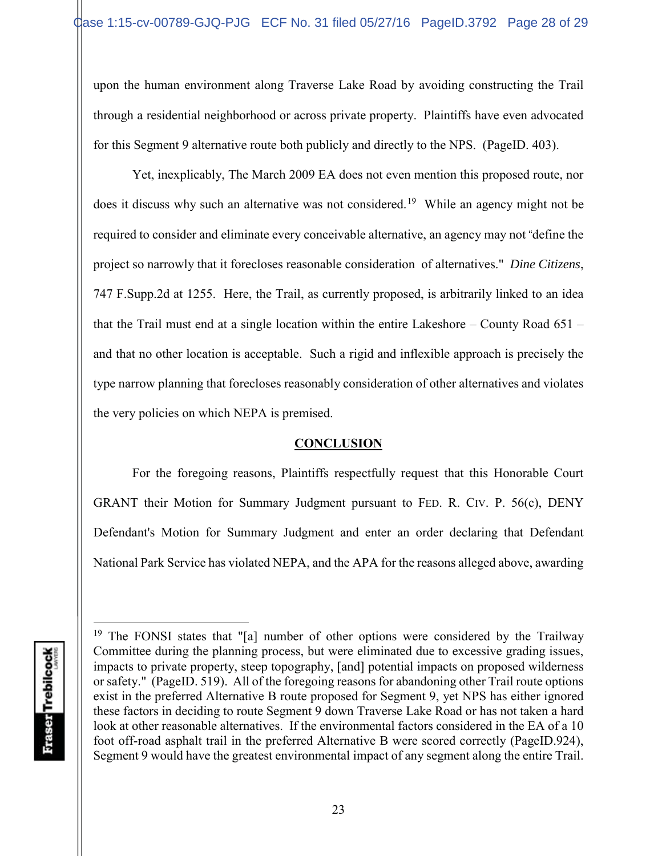upon the human environment along Traverse Lake Road by avoiding constructing the Trail through a residential neighborhood or across private property. Plaintiffs have even advocated for this Segment 9 alternative route both publicly and directly to the NPS. (PageID. 403).

Yet, inexplicably, The March 2009 EA does not even mention this proposed route, nor does it discuss why such an alternative was not considered.<sup>19</sup> While an agency might not be required to consider and eliminate every conceivable alternative, an agency may not "define the project so narrowly that it forecloses reasonable consideration of alternatives." *Dine Citizens*, 747 F.Supp.2d at 1255. Here, the Trail, as currently proposed, is arbitrarily linked to an idea that the Trail must end at a single location within the entire Lakeshore – County Road 651 – and that no other location is acceptable. Such a rigid and inflexible approach is precisely the type narrow planning that forecloses reasonably consideration of other alternatives and violates the very policies on which NEPA is premised.

# **CONCLUSION**

For the foregoing reasons, Plaintiffs respectfully request that this Honorable Court GRANT their Motion for Summary Judgment pursuant to FED. R. CIV. P. 56(c), DENY Defendant's Motion for Summary Judgment and enter an order declaring that Defendant National Park Service has violated NEPA, and the APA for the reasons alleged above, awarding

<sup>&</sup>lt;sup>19</sup> The FONSI states that "[a] number of other options were considered by the Trailway Committee during the planning process, but were eliminated due to excessive grading issues, impacts to private property, steep topography, [and] potential impacts on proposed wilderness or safety." (PageID. 519). All of the foregoing reasons for abandoning other Trail route options exist in the preferred Alternative B route proposed for Segment 9, yet NPS has either ignored these factors in deciding to route Segment 9 down Traverse Lake Road or has not taken a hard look at other reasonable alternatives. If the environmental factors considered in the EA of a 10 foot off-road asphalt trail in the preferred Alternative B were scored correctly (PageID.924), Segment 9 would have the greatest environmental impact of any segment along the entire Trail.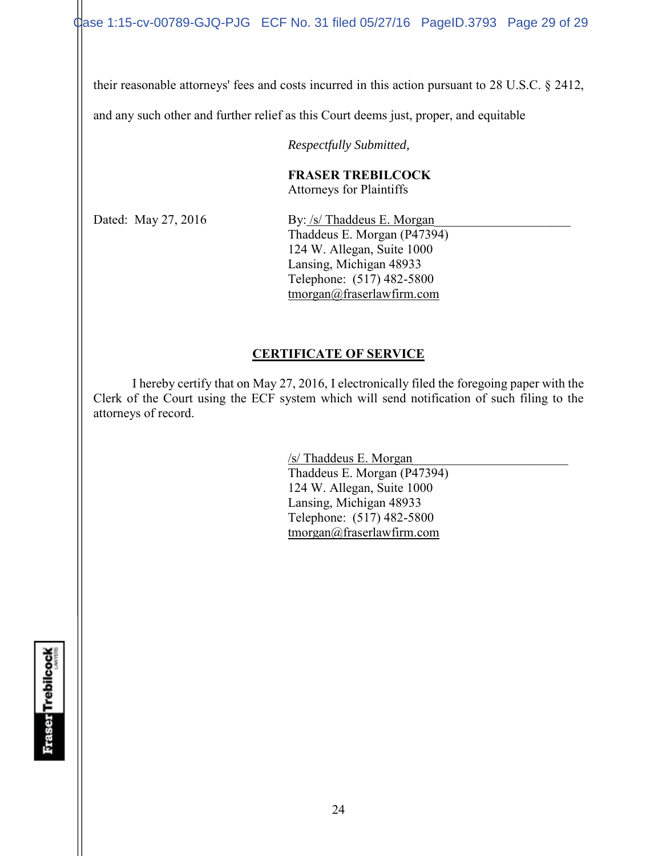Case 1:15-cv-00789-GJQ-PJG ECF No. 31 filed 05/27/16 PageID.3793 Page 29 of 29

their reasonable attorneys' fees and costs incurred in this action pursuant to 28 U.S.C. § 2412,

and any such other and further relief as this Court deems just, proper, and equitable

*Respectfully Submitted,*

# **FRASER TREBILCOCK**

Attorneys for Plaintiffs

Dated: May 27, 2016 By: /s/ Thaddeus E. Morgan Thaddeus E. Morgan (P47394) 124 W. Allegan, Suite 1000 Lansing, Michigan 48933 Telephone: (517) 482-5800 tmorgan@fraserlawfirm.com

# **CERTIFICATE OF SERVICE**

I hereby certify that on May 27, 2016, I electronically filed the foregoing paper with the Clerk of the Court using the ECF system which will send notification of such filing to the attorneys of record.

> /s/ Thaddeus E. Morgan\_\_\_\_\_\_\_\_\_\_\_\_\_\_\_\_\_\_\_\_\_\_\_\_ Thaddeus E. Morgan (P47394) 124 W. Allegan, Suite 1000 Lansing, Michigan 48933 Telephone: (517) 482-5800 tmorgan@fraserlawfirm.com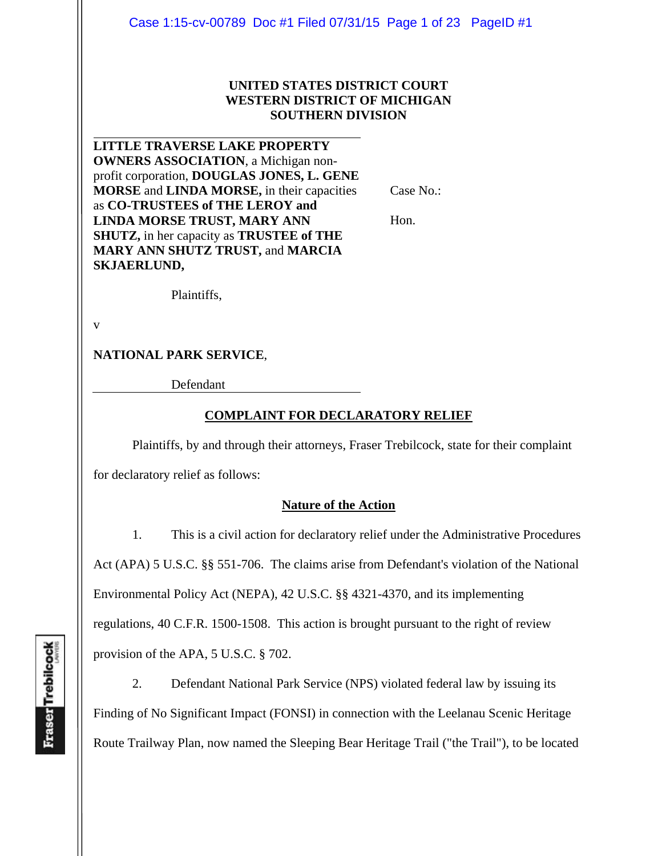#### **UNITED STATES DISTRICT COURT WESTERN DISTRICT OF MICHIGAN SOUTHERN DIVISION**

**LITTLE TRAVERSE LAKE PROPERTY OWNERS ASSOCIATION**, a Michigan nonprofit corporation, **DOUGLAS JONES, L. GENE MORSE** and **LINDA MORSE,** in their capacities as **CO-TRUSTEES of THE LEROY and LINDA MORSE TRUST, MARY ANN SHUTZ,** in her capacity as **TRUSTEE of THE MARY ANN SHUTZ TRUST,** and **MARCIA SKJAERLUND,** 

Case No.:

Hon.

Plaintiffs,

v

## **NATIONAL PARK SERVICE**,

Defendant

#### **COMPLAINT FOR DECLARATORY RELIEF**

Plaintiffs, by and through their attorneys, Fraser Trebilcock, state for their complaint

for declaratory relief as follows:

#### **Nature of the Action**

 1. This is a civil action for declaratory relief under the Administrative Procedures Act (APA) 5 U.S.C. §§ 551-706. The claims arise from Defendant's violation of the National Environmental Policy Act (NEPA), 42 U.S.C. §§ 4321-4370, and its implementing regulations, 40 C.F.R. 1500-1508. This action is brought pursuant to the right of review provision of the APA, 5 U.S.C. § 702.

 2. Defendant National Park Service (NPS) violated federal law by issuing its Finding of No Significant Impact (FONSI) in connection with the Leelanau Scenic Heritage Route Trailway Plan, now named the Sleeping Bear Heritage Trail ("the Trail"), to be located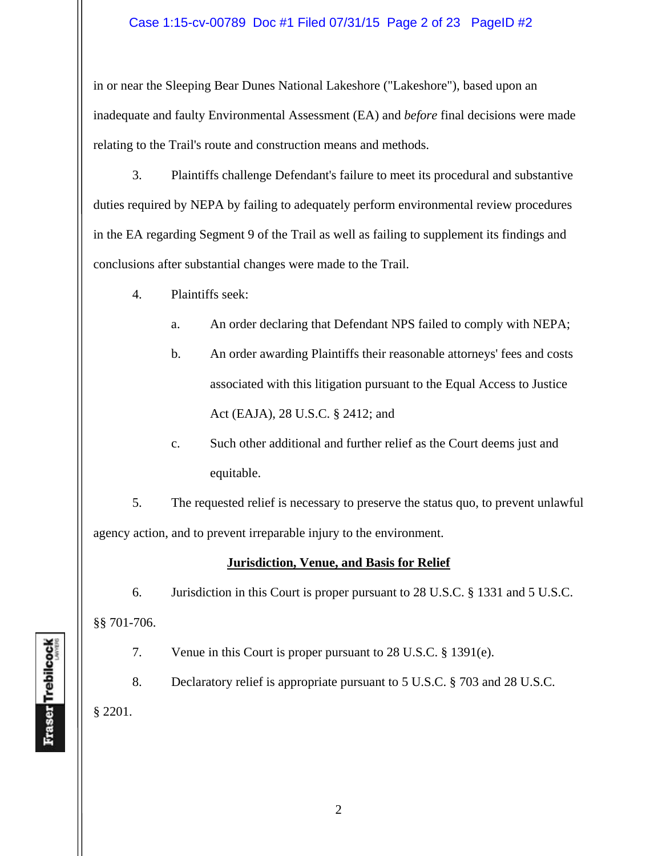#### Case 1:15-cv-00789 Doc #1 Filed 07/31/15 Page 2 of 23 PageID #2

in or near the Sleeping Bear Dunes National Lakeshore ("Lakeshore"), based upon an inadequate and faulty Environmental Assessment (EA) and *before* final decisions were made relating to the Trail's route and construction means and methods.

 3. Plaintiffs challenge Defendant's failure to meet its procedural and substantive duties required by NEPA by failing to adequately perform environmental review procedures in the EA regarding Segment 9 of the Trail as well as failing to supplement its findings and conclusions after substantial changes were made to the Trail.

- 4. Plaintiffs seek:
	- a. An order declaring that Defendant NPS failed to comply with NEPA;
	- b. An order awarding Plaintiffs their reasonable attorneys' fees and costs associated with this litigation pursuant to the Equal Access to Justice Act (EAJA), 28 U.S.C. § 2412; and
	- c. Such other additional and further relief as the Court deems just and equitable.

5. The requested relief is necessary to preserve the status quo, to prevent unlawful agency action, and to prevent irreparable injury to the environment.

#### **Jurisdiction, Venue, and Basis for Relief**

 6. Jurisdiction in this Court is proper pursuant to 28 U.S.C. § 1331 and 5 U.S.C. §§ 701-706.

7. Venue in this Court is proper pursuant to 28 U.S.C. § 1391(e).

 8. Declaratory relief is appropriate pursuant to 5 U.S.C. § 703 and 28 U.S.C. § 2201.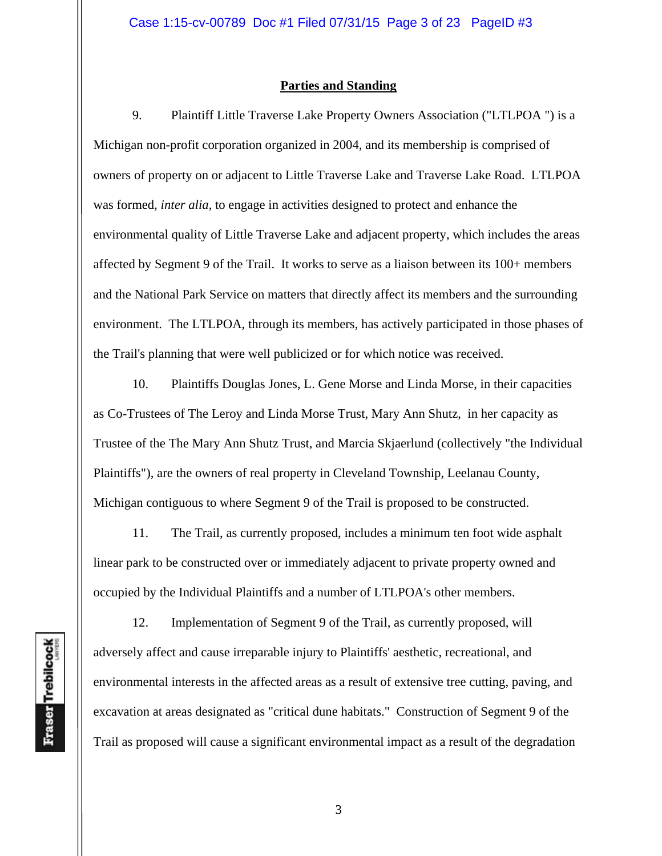#### **Parties and Standing**

 9. Plaintiff Little Traverse Lake Property Owners Association ("LTLPOA ") is a Michigan non-profit corporation organized in 2004, and its membership is comprised of owners of property on or adjacent to Little Traverse Lake and Traverse Lake Road. LTLPOA was formed, *inter alia*, to engage in activities designed to protect and enhance the environmental quality of Little Traverse Lake and adjacent property, which includes the areas affected by Segment 9 of the Trail. It works to serve as a liaison between its 100+ members and the National Park Service on matters that directly affect its members and the surrounding environment. The LTLPOA, through its members, has actively participated in those phases of the Trail's planning that were well publicized or for which notice was received.

 10. Plaintiffs Douglas Jones, L. Gene Morse and Linda Morse, in their capacities as Co-Trustees of The Leroy and Linda Morse Trust, Mary Ann Shutz, in her capacity as Trustee of the The Mary Ann Shutz Trust, and Marcia Skjaerlund (collectively "the Individual Plaintiffs"), are the owners of real property in Cleveland Township, Leelanau County, Michigan contiguous to where Segment 9 of the Trail is proposed to be constructed.

 11. The Trail, as currently proposed, includes a minimum ten foot wide asphalt linear park to be constructed over or immediately adjacent to private property owned and occupied by the Individual Plaintiffs and a number of LTLPOA's other members.

 12. Implementation of Segment 9 of the Trail, as currently proposed, will adversely affect and cause irreparable injury to Plaintiffs' aesthetic, recreational, and environmental interests in the affected areas as a result of extensive tree cutting, paving, and excavation at areas designated as "critical dune habitats." Construction of Segment 9 of the Trail as proposed will cause a significant environmental impact as a result of the degradation

3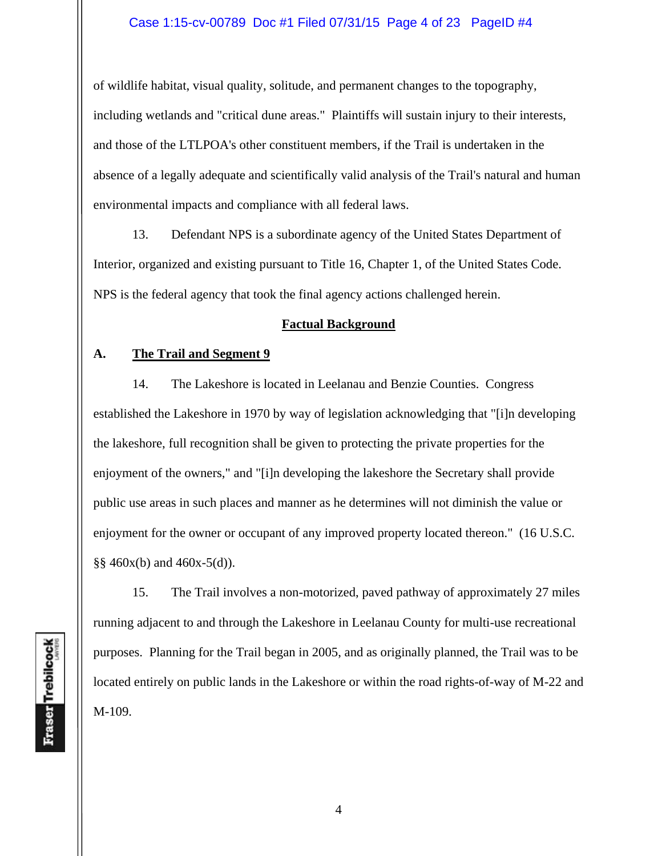#### Case 1:15-cv-00789 Doc #1 Filed 07/31/15 Page 4 of 23 PageID #4

of wildlife habitat, visual quality, solitude, and permanent changes to the topography, including wetlands and "critical dune areas." Plaintiffs will sustain injury to their interests, and those of the LTLPOA's other constituent members, if the Trail is undertaken in the absence of a legally adequate and scientifically valid analysis of the Trail's natural and human environmental impacts and compliance with all federal laws.

 13. Defendant NPS is a subordinate agency of the United States Department of Interior, organized and existing pursuant to Title 16, Chapter 1, of the United States Code. NPS is the federal agency that took the final agency actions challenged herein.

#### **Factual Background**

#### **A. The Trail and Segment 9**

 14. The Lakeshore is located in Leelanau and Benzie Counties. Congress established the Lakeshore in 1970 by way of legislation acknowledging that "[i]n developing the lakeshore, full recognition shall be given to protecting the private properties for the enjoyment of the owners," and "[i]n developing the lakeshore the Secretary shall provide public use areas in such places and manner as he determines will not diminish the value or enjoyment for the owner or occupant of any improved property located thereon." (16 U.S.C.  $\S$ § 460x(b) and 460x-5(d)).

15. The Trail involves a non-motorized, paved pathway of approximately 27 miles running adjacent to and through the Lakeshore in Leelanau County for multi-use recreational purposes. Planning for the Trail began in 2005, and as originally planned, the Trail was to be located entirely on public lands in the Lakeshore or within the road rights-of-way of M-22 and M-109.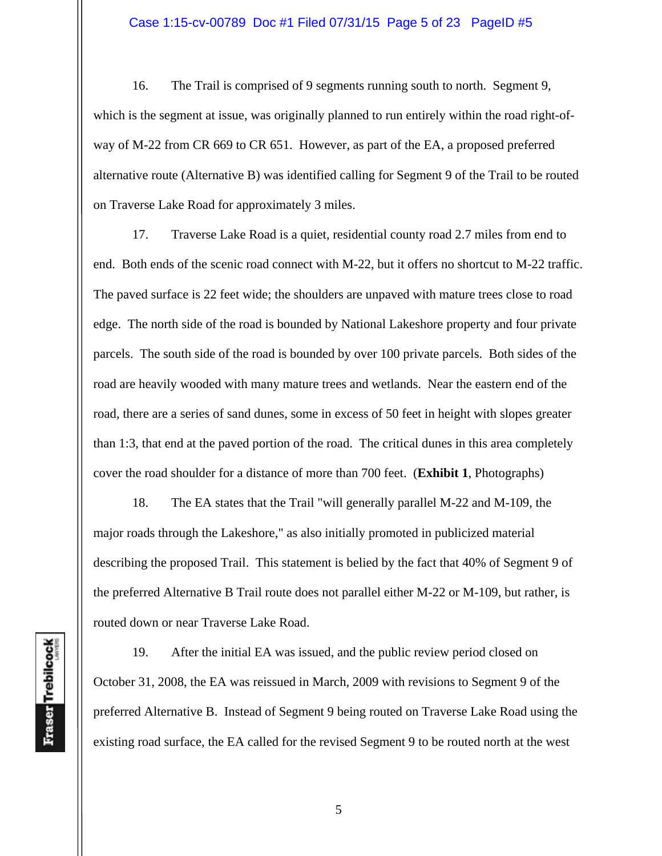#### Case 1:15-cv-00789 Doc #1 Filed 07/31/15 Page 5 of 23 PageID #5

 16. The Trail is comprised of 9 segments running south to north. Segment 9, which is the segment at issue, was originally planned to run entirely within the road right-ofway of M-22 from CR 669 to CR 651. However, as part of the EA, a proposed preferred alternative route (Alternative B) was identified calling for Segment 9 of the Trail to be routed on Traverse Lake Road for approximately 3 miles.

 17. Traverse Lake Road is a quiet, residential county road 2.7 miles from end to end. Both ends of the scenic road connect with M-22, but it offers no shortcut to M-22 traffic. The paved surface is 22 feet wide; the shoulders are unpaved with mature trees close to road edge. The north side of the road is bounded by National Lakeshore property and four private parcels. The south side of the road is bounded by over 100 private parcels. Both sides of the road are heavily wooded with many mature trees and wetlands. Near the eastern end of the road, there are a series of sand dunes, some in excess of 50 feet in height with slopes greater than 1:3, that end at the paved portion of the road. The critical dunes in this area completely cover the road shoulder for a distance of more than 700 feet. (**Exhibit 1**, Photographs)

 18. The EA states that the Trail "will generally parallel M-22 and M-109, the major roads through the Lakeshore," as also initially promoted in publicized material describing the proposed Trail. This statement is belied by the fact that 40% of Segment 9 of the preferred Alternative B Trail route does not parallel either M-22 or M-109, but rather, is routed down or near Traverse Lake Road.

 19. After the initial EA was issued, and the public review period closed on October 31, 2008, the EA was reissued in March, 2009 with revisions to Segment 9 of the preferred Alternative B. Instead of Segment 9 being routed on Traverse Lake Road using the existing road surface, the EA called for the revised Segment 9 to be routed north at the west

5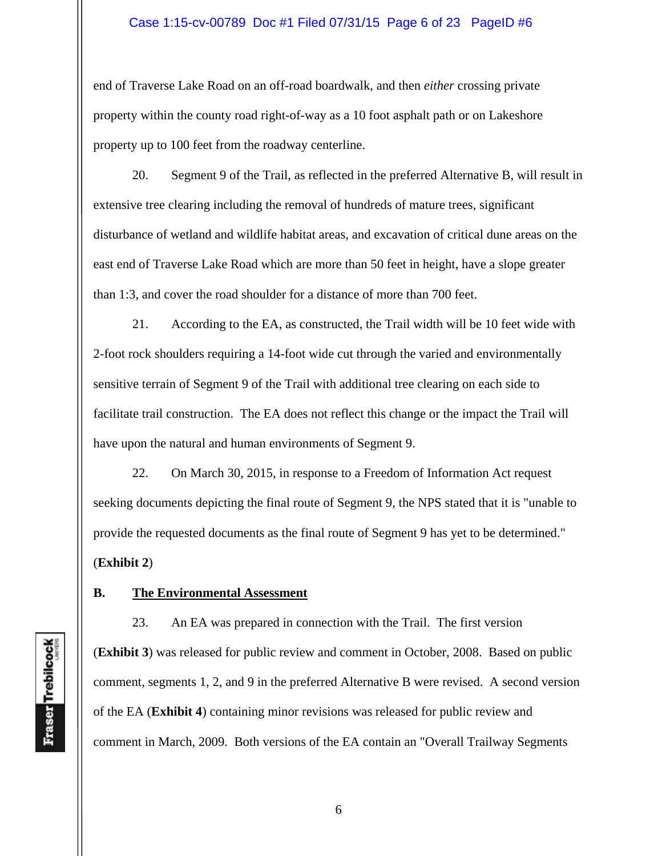#### Case 1:15-cv-00789 Doc #1 Filed 07/31/15 Page 6 of 23 PageID #6

end of Traverse Lake Road on an off-road boardwalk, and then *either* crossing private property within the county road right-of-way as a 10 foot asphalt path or on Lakeshore property up to 100 feet from the roadway centerline.

 20. Segment 9 of the Trail, as reflected in the preferred Alternative B, will result in extensive tree clearing including the removal of hundreds of mature trees, significant disturbance of wetland and wildlife habitat areas, and excavation of critical dune areas on the east end of Traverse Lake Road which are more than 50 feet in height, have a slope greater than 1:3, and cover the road shoulder for a distance of more than 700 feet.

 21. According to the EA, as constructed, the Trail width will be 10 feet wide with 2-foot rock shoulders requiring a 14-foot wide cut through the varied and environmentally sensitive terrain of Segment 9 of the Trail with additional tree clearing on each side to facilitate trail construction. The EA does not reflect this change or the impact the Trail will have upon the natural and human environments of Segment 9.

 22. On March 30, 2015, in response to a Freedom of Information Act request seeking documents depicting the final route of Segment 9, the NPS stated that it is "unable to provide the requested documents as the final route of Segment 9 has yet to be determined." (**Exhibit 2**)

#### **B. The Environmental Assessment**

 23. An EA was prepared in connection with the Trail. The first version (**Exhibit 3**) was released for public review and comment in October, 2008. Based on public comment, segments 1, 2, and 9 in the preferred Alternative B were revised. A second version of the EA (**Exhibit 4**) containing minor revisions was released for public review and comment in March, 2009. Both versions of the EA contain an "Overall Trailway Segments

Fraser Trebilcock

6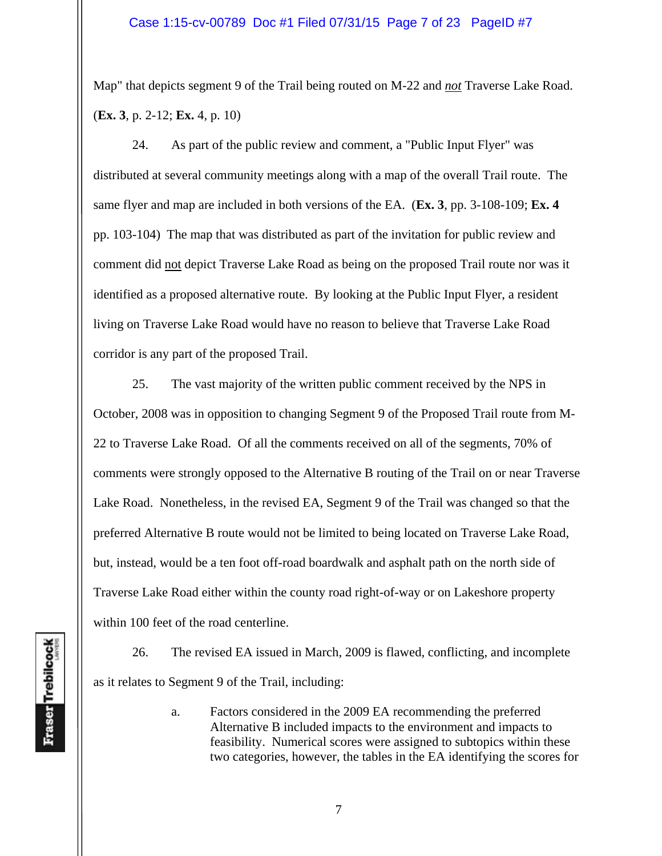Map" that depicts segment 9 of the Trail being routed on M-22 and *not* Traverse Lake Road. (**Ex. 3**, p. 2-12; **Ex.** 4, p. 10)

 24. As part of the public review and comment, a "Public Input Flyer" was distributed at several community meetings along with a map of the overall Trail route. The same flyer and map are included in both versions of the EA. (**Ex. 3**, pp. 3-108-109; **Ex. 4** pp. 103-104) The map that was distributed as part of the invitation for public review and comment did not depict Traverse Lake Road as being on the proposed Trail route nor was it identified as a proposed alternative route. By looking at the Public Input Flyer, a resident living on Traverse Lake Road would have no reason to believe that Traverse Lake Road corridor is any part of the proposed Trail.

 25. The vast majority of the written public comment received by the NPS in October, 2008 was in opposition to changing Segment 9 of the Proposed Trail route from M-22 to Traverse Lake Road. Of all the comments received on all of the segments, 70% of comments were strongly opposed to the Alternative B routing of the Trail on or near Traverse Lake Road. Nonetheless, in the revised EA, Segment 9 of the Trail was changed so that the preferred Alternative B route would not be limited to being located on Traverse Lake Road, but, instead, would be a ten foot off-road boardwalk and asphalt path on the north side of Traverse Lake Road either within the county road right-of-way or on Lakeshore property within 100 feet of the road centerline.

 26. The revised EA issued in March, 2009 is flawed, conflicting, and incomplete as it relates to Segment 9 of the Trail, including:

> a. Factors considered in the 2009 EA recommending the preferred Alternative B included impacts to the environment and impacts to feasibility. Numerical scores were assigned to subtopics within these two categories, however, the tables in the EA identifying the scores for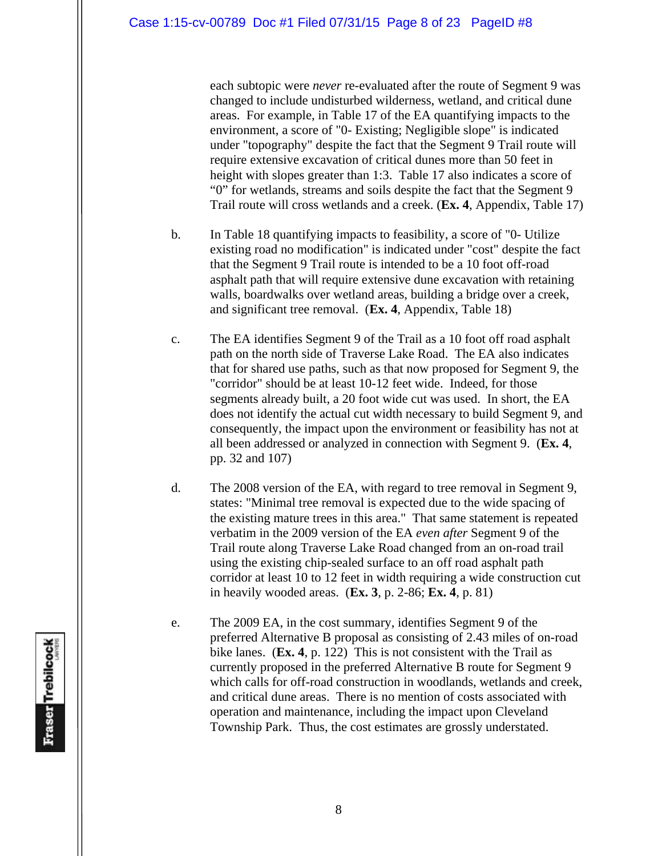each subtopic were *never* re-evaluated after the route of Segment 9 was changed to include undisturbed wilderness, wetland, and critical dune areas. For example, in Table 17 of the EA quantifying impacts to the environment, a score of "0- Existing; Negligible slope" is indicated under "topography" despite the fact that the Segment 9 Trail route will require extensive excavation of critical dunes more than 50 feet in height with slopes greater than 1:3. Table 17 also indicates a score of "0" for wetlands, streams and soils despite the fact that the Segment 9 Trail route will cross wetlands and a creek. (**Ex. 4**, Appendix, Table 17)

- b. In Table 18 quantifying impacts to feasibility, a score of "0- Utilize existing road no modification" is indicated under "cost" despite the fact that the Segment 9 Trail route is intended to be a 10 foot off-road asphalt path that will require extensive dune excavation with retaining walls, boardwalks over wetland areas, building a bridge over a creek, and significant tree removal. (**Ex. 4**, Appendix, Table 18)
- c. The EA identifies Segment 9 of the Trail as a 10 foot off road asphalt path on the north side of Traverse Lake Road. The EA also indicates that for shared use paths, such as that now proposed for Segment 9, the "corridor" should be at least 10-12 feet wide. Indeed, for those segments already built, a 20 foot wide cut was used. In short, the EA does not identify the actual cut width necessary to build Segment 9, and consequently, the impact upon the environment or feasibility has not at all been addressed or analyzed in connection with Segment 9. (**Ex. 4**, pp. 32 and 107)
- d. The 2008 version of the EA, with regard to tree removal in Segment 9, states: "Minimal tree removal is expected due to the wide spacing of the existing mature trees in this area." That same statement is repeated verbatim in the 2009 version of the EA *even after* Segment 9 of the Trail route along Traverse Lake Road changed from an on-road trail using the existing chip-sealed surface to an off road asphalt path corridor at least 10 to 12 feet in width requiring a wide construction cut in heavily wooded areas. (**Ex. 3**, p. 2-86; **Ex. 4**, p. 81)
- e. The 2009 EA, in the cost summary, identifies Segment 9 of the preferred Alternative B proposal as consisting of 2.43 miles of on-road bike lanes. (**Ex. 4**, p. 122) This is not consistent with the Trail as currently proposed in the preferred Alternative B route for Segment 9 which calls for off-road construction in woodlands, wetlands and creek, and critical dune areas. There is no mention of costs associated with operation and maintenance, including the impact upon Cleveland Township Park. Thus, the cost estimates are grossly understated.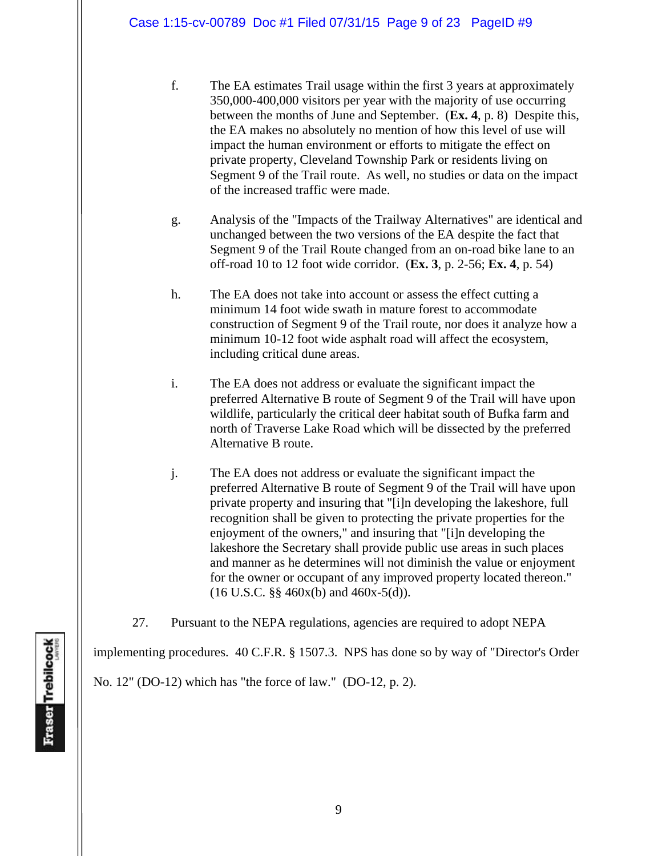- f. The EA estimates Trail usage within the first 3 years at approximately 350,000-400,000 visitors per year with the majority of use occurring between the months of June and September. (**Ex. 4**, p. 8) Despite this, the EA makes no absolutely no mention of how this level of use will impact the human environment or efforts to mitigate the effect on private property, Cleveland Township Park or residents living on Segment 9 of the Trail route. As well, no studies or data on the impact of the increased traffic were made.
- g. Analysis of the "Impacts of the Trailway Alternatives" are identical and unchanged between the two versions of the EA despite the fact that Segment 9 of the Trail Route changed from an on-road bike lane to an off-road 10 to 12 foot wide corridor. (**Ex. 3**, p. 2-56; **Ex. 4**, p. 54)
- h. The EA does not take into account or assess the effect cutting a minimum 14 foot wide swath in mature forest to accommodate construction of Segment 9 of the Trail route, nor does it analyze how a minimum 10-12 foot wide asphalt road will affect the ecosystem, including critical dune areas.
- i. The EA does not address or evaluate the significant impact the preferred Alternative B route of Segment 9 of the Trail will have upon wildlife, particularly the critical deer habitat south of Bufka farm and north of Traverse Lake Road which will be dissected by the preferred Alternative B route.
- j. The EA does not address or evaluate the significant impact the preferred Alternative B route of Segment 9 of the Trail will have upon private property and insuring that "[i]n developing the lakeshore, full recognition shall be given to protecting the private properties for the enjoyment of the owners," and insuring that "[i]n developing the lakeshore the Secretary shall provide public use areas in such places and manner as he determines will not diminish the value or enjoyment for the owner or occupant of any improved property located thereon."  $(16 \text{ U.S.C. }$ §§ 460x(b) and 460x-5(d)).
- 27. Pursuant to the NEPA regulations, agencies are required to adopt NEPA

implementing procedures. 40 C.F.R. § 1507.3. NPS has done so by way of "Director's Order

No. 12" (DO-12) which has "the force of law." (DO-12, p. 2).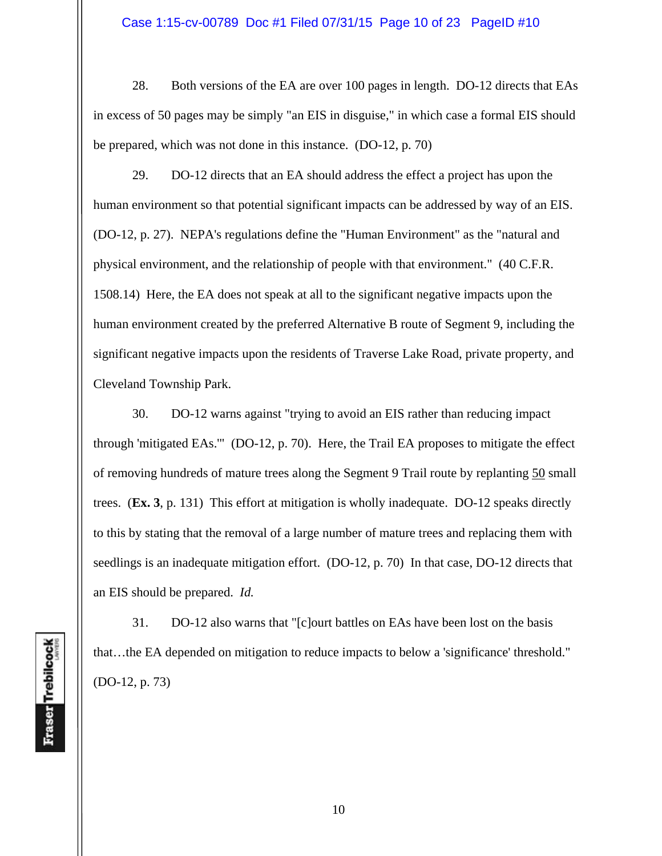#### Case 1:15-cv-00789 Doc #1 Filed 07/31/15 Page 10 of 23 PageID #10

 28. Both versions of the EA are over 100 pages in length. DO-12 directs that EAs in excess of 50 pages may be simply "an EIS in disguise," in which case a formal EIS should be prepared, which was not done in this instance. (DO-12, p. 70)

 29. DO-12 directs that an EA should address the effect a project has upon the human environment so that potential significant impacts can be addressed by way of an EIS. (DO-12, p. 27). NEPA's regulations define the "Human Environment" as the "natural and physical environment, and the relationship of people with that environment." (40 C.F.R. 1508.14) Here, the EA does not speak at all to the significant negative impacts upon the human environment created by the preferred Alternative B route of Segment 9, including the significant negative impacts upon the residents of Traverse Lake Road, private property, and Cleveland Township Park.

 30. DO-12 warns against "trying to avoid an EIS rather than reducing impact through 'mitigated EAs.'" (DO-12, p. 70). Here, the Trail EA proposes to mitigate the effect of removing hundreds of mature trees along the Segment 9 Trail route by replanting 50 small trees. (**Ex. 3**, p. 131) This effort at mitigation is wholly inadequate. DO-12 speaks directly to this by stating that the removal of a large number of mature trees and replacing them with seedlings is an inadequate mitigation effort. (DO-12, p. 70) In that case, DO-12 directs that an EIS should be prepared. *Id.*

 31. DO-12 also warns that "[c]ourt battles on EAs have been lost on the basis that…the EA depended on mitigation to reduce impacts to below a 'significance' threshold." (DO-12, p. 73)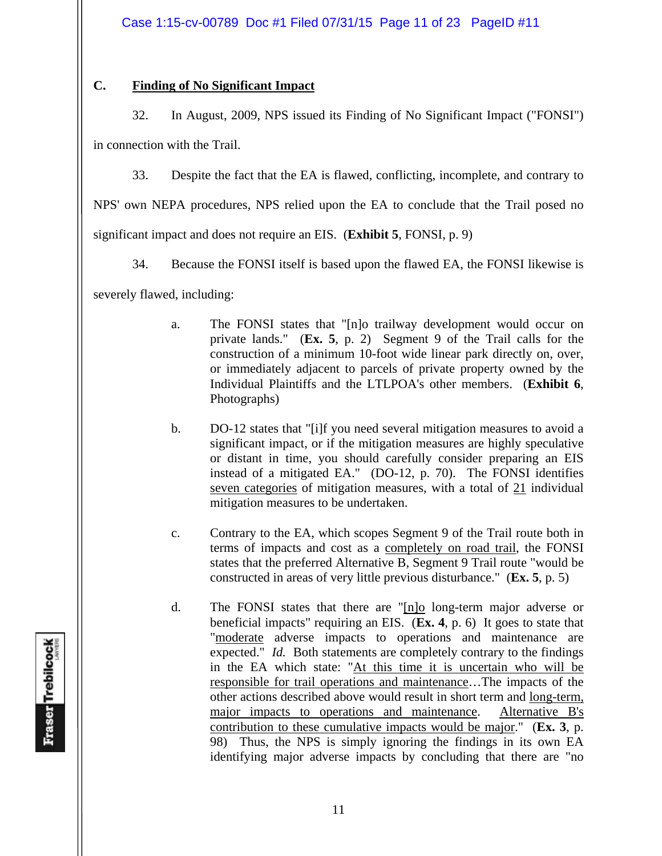# **C. Finding of No Significant Impact**

32. In August, 2009, NPS issued its Finding of No Significant Impact ("FONSI")

in connection with the Trail.

33. Despite the fact that the EA is flawed, conflicting, incomplete, and contrary to

NPS' own NEPA procedures, NPS relied upon the EA to conclude that the Trail posed no

significant impact and does not require an EIS. (**Exhibit 5**, FONSI, p. 9)

34. Because the FONSI itself is based upon the flawed EA, the FONSI likewise is

severely flawed, including:

- a. The FONSI states that "[n]o trailway development would occur on private lands." (**Ex. 5**, p. 2) Segment 9 of the Trail calls for the construction of a minimum 10-foot wide linear park directly on, over, or immediately adjacent to parcels of private property owned by the Individual Plaintiffs and the LTLPOA's other members. (**Exhibit 6**, Photographs)
- b. DO-12 states that "[i]f you need several mitigation measures to avoid a significant impact, or if the mitigation measures are highly speculative or distant in time, you should carefully consider preparing an EIS instead of a mitigated EA." (DO-12, p. 70). The FONSI identifies seven categories of mitigation measures, with a total of 21 individual mitigation measures to be undertaken.
- c. Contrary to the EA, which scopes Segment 9 of the Trail route both in terms of impacts and cost as a completely on road trail, the FONSI states that the preferred Alternative B, Segment 9 Trail route "would be constructed in areas of very little previous disturbance." (**Ex. 5**, p. 5)
- d. The FONSI states that there are "[n]o long-term major adverse or beneficial impacts" requiring an EIS. (**Ex. 4**, p. 6) It goes to state that "moderate adverse impacts to operations and maintenance are expected." *Id.* Both statements are completely contrary to the findings in the EA which state: "At this time it is uncertain who will be responsible for trail operations and maintenance…The impacts of the other actions described above would result in short term and long-term, major impacts to operations and maintenance. Alternative B's contribution to these cumulative impacts would be major." (**Ex. 3**, p. 98) Thus, the NPS is simply ignoring the findings in its own EA identifying major adverse impacts by concluding that there are "no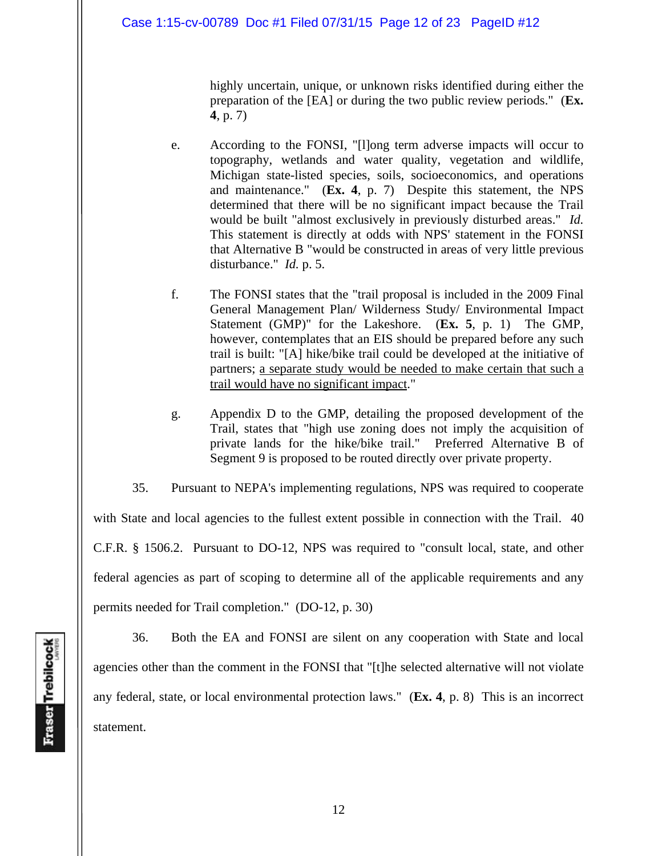highly uncertain, unique, or unknown risks identified during either the preparation of the [EA] or during the two public review periods." (**Ex. 4**, p. 7)

- e. According to the FONSI, "[l]ong term adverse impacts will occur to topography, wetlands and water quality, vegetation and wildlife, Michigan state-listed species, soils, socioeconomics, and operations and maintenance." (**Ex. 4**, p. 7) Despite this statement, the NPS determined that there will be no significant impact because the Trail would be built "almost exclusively in previously disturbed areas." *Id.* This statement is directly at odds with NPS' statement in the FONSI that Alternative B "would be constructed in areas of very little previous disturbance." *Id.* p. 5.
- f. The FONSI states that the "trail proposal is included in the 2009 Final General Management Plan/ Wilderness Study/ Environmental Impact Statement (GMP)" for the Lakeshore. (**Ex. 5**, p. 1) The GMP, however, contemplates that an EIS should be prepared before any such trail is built: "[A] hike/bike trail could be developed at the initiative of partners; a separate study would be needed to make certain that such a trail would have no significant impact."
- g. Appendix D to the GMP, detailing the proposed development of the Trail, states that "high use zoning does not imply the acquisition of private lands for the hike/bike trail." Preferred Alternative B of Segment 9 is proposed to be routed directly over private property.

 35. Pursuant to NEPA's implementing regulations, NPS was required to cooperate with State and local agencies to the fullest extent possible in connection with the Trail. 40 C.F.R. § 1506.2. Pursuant to DO-12, NPS was required to "consult local, state, and other federal agencies as part of scoping to determine all of the applicable requirements and any permits needed for Trail completion." (DO-12, p. 30)

 36. Both the EA and FONSI are silent on any cooperation with State and local agencies other than the comment in the FONSI that "[t]he selected alternative will not violate any federal, state, or local environmental protection laws." (**Ex. 4**, p. 8) This is an incorrect statement.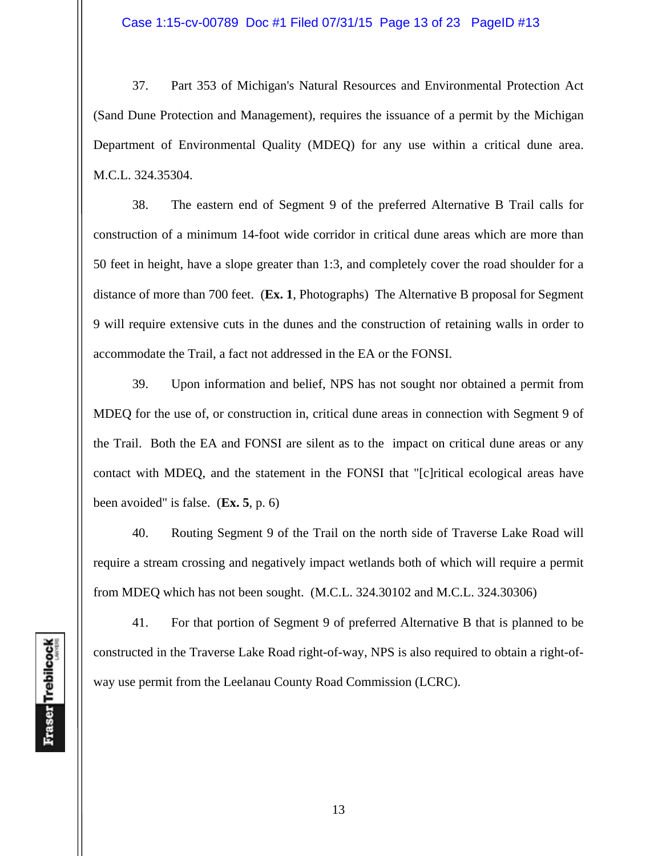37. Part 353 of Michigan's Natural Resources and Environmental Protection Act (Sand Dune Protection and Management), requires the issuance of a permit by the Michigan Department of Environmental Quality (MDEQ) for any use within a critical dune area. M.C.L. 324.35304.

 38. The eastern end of Segment 9 of the preferred Alternative B Trail calls for construction of a minimum 14-foot wide corridor in critical dune areas which are more than 50 feet in height, have a slope greater than 1:3, and completely cover the road shoulder for a distance of more than 700 feet. (**Ex. 1**, Photographs) The Alternative B proposal for Segment 9 will require extensive cuts in the dunes and the construction of retaining walls in order to accommodate the Trail, a fact not addressed in the EA or the FONSI.

 39. Upon information and belief, NPS has not sought nor obtained a permit from MDEQ for the use of, or construction in, critical dune areas in connection with Segment 9 of the Trail. Both the EA and FONSI are silent as to the impact on critical dune areas or any contact with MDEQ, and the statement in the FONSI that "[c]ritical ecological areas have been avoided" is false. (**Ex. 5**, p. 6)

 40. Routing Segment 9 of the Trail on the north side of Traverse Lake Road will require a stream crossing and negatively impact wetlands both of which will require a permit from MDEQ which has not been sought. (M.C.L. 324.30102 and M.C.L. 324.30306)

 41. For that portion of Segment 9 of preferred Alternative B that is planned to be constructed in the Traverse Lake Road right-of-way, NPS is also required to obtain a right-ofway use permit from the Leelanau County Road Commission (LCRC).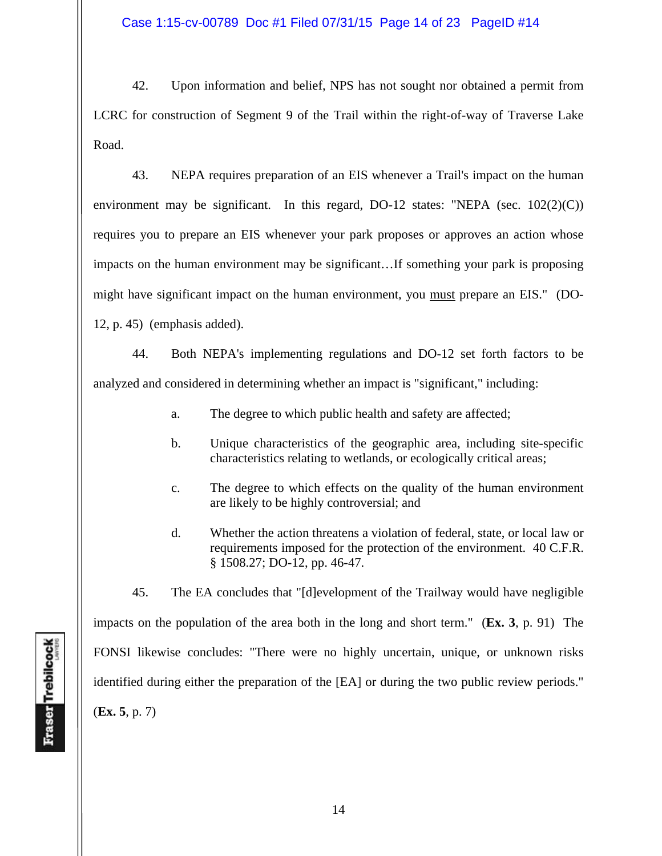Case 1:15-cv-00789 Doc #1 Filed 07/31/15 Page 14 of 23 PageID #14

 42. Upon information and belief, NPS has not sought nor obtained a permit from LCRC for construction of Segment 9 of the Trail within the right-of-way of Traverse Lake Road.

 43. NEPA requires preparation of an EIS whenever a Trail's impact on the human environment may be significant. In this regard, DO-12 states: "NEPA (sec. 102(2)(C)) requires you to prepare an EIS whenever your park proposes or approves an action whose impacts on the human environment may be significant…If something your park is proposing might have significant impact on the human environment, you must prepare an EIS." (DO-12, p. 45) (emphasis added).

 44. Both NEPA's implementing regulations and DO-12 set forth factors to be analyzed and considered in determining whether an impact is "significant," including:

- a. The degree to which public health and safety are affected;
- b. Unique characteristics of the geographic area, including site-specific characteristics relating to wetlands, or ecologically critical areas;
- c. The degree to which effects on the quality of the human environment are likely to be highly controversial; and
- d. Whether the action threatens a violation of federal, state, or local law or requirements imposed for the protection of the environment. 40 C.F.R. § 1508.27; DO-12, pp. 46-47.

 45. The EA concludes that "[d]evelopment of the Trailway would have negligible impacts on the population of the area both in the long and short term." (**Ex. 3**, p. 91) The FONSI likewise concludes: "There were no highly uncertain, unique, or unknown risks identified during either the preparation of the [EA] or during the two public review periods." (**Ex. 5**, p. 7)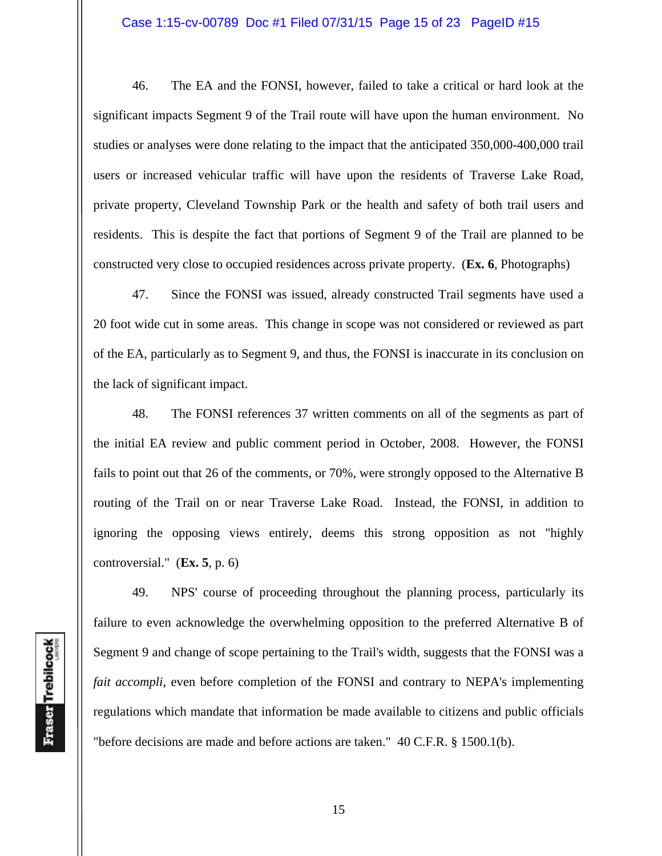#### Case 1:15-cv-00789 Doc #1 Filed 07/31/15 Page 15 of 23 PageID #15

 46. The EA and the FONSI, however, failed to take a critical or hard look at the significant impacts Segment 9 of the Trail route will have upon the human environment. No studies or analyses were done relating to the impact that the anticipated 350,000-400,000 trail users or increased vehicular traffic will have upon the residents of Traverse Lake Road, private property, Cleveland Township Park or the health and safety of both trail users and residents. This is despite the fact that portions of Segment 9 of the Trail are planned to be constructed very close to occupied residences across private property. (**Ex. 6**, Photographs)

 47. Since the FONSI was issued, already constructed Trail segments have used a 20 foot wide cut in some areas. This change in scope was not considered or reviewed as part of the EA, particularly as to Segment 9, and thus, the FONSI is inaccurate in its conclusion on the lack of significant impact.

 48. The FONSI references 37 written comments on all of the segments as part of the initial EA review and public comment period in October, 2008. However, the FONSI fails to point out that 26 of the comments, or 70%, were strongly opposed to the Alternative B routing of the Trail on or near Traverse Lake Road. Instead, the FONSI, in addition to ignoring the opposing views entirely, deems this strong opposition as not "highly controversial." (**Ex. 5**, p. 6)

 49. NPS' course of proceeding throughout the planning process, particularly its failure to even acknowledge the overwhelming opposition to the preferred Alternative B of Segment 9 and change of scope pertaining to the Trail's width, suggests that the FONSI was a *fait accompli*, even before completion of the FONSI and contrary to NEPA's implementing regulations which mandate that information be made available to citizens and public officials "before decisions are made and before actions are taken." 40 C.F.R. § 1500.1(b).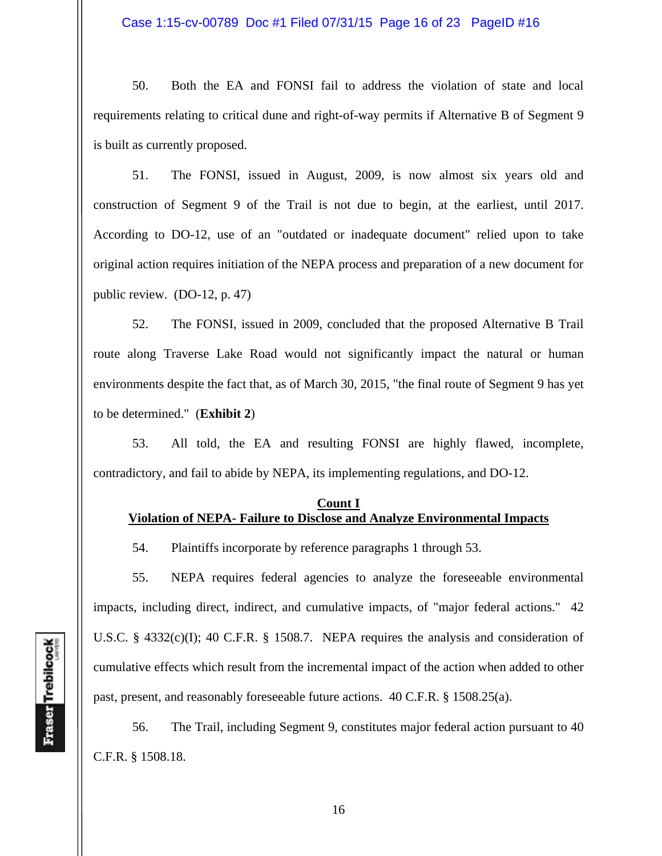50. Both the EA and FONSI fail to address the violation of state and local requirements relating to critical dune and right-of-way permits if Alternative B of Segment 9 is built as currently proposed.

 51. The FONSI, issued in August, 2009, is now almost six years old and construction of Segment 9 of the Trail is not due to begin, at the earliest, until 2017. According to DO-12, use of an "outdated or inadequate document" relied upon to take original action requires initiation of the NEPA process and preparation of a new document for public review. (DO-12, p. 47)

 52. The FONSI, issued in 2009, concluded that the proposed Alternative B Trail route along Traverse Lake Road would not significantly impact the natural or human environments despite the fact that, as of March 30, 2015, "the final route of Segment 9 has yet to be determined." (**Exhibit 2**)

 53. All told, the EA and resulting FONSI are highly flawed, incomplete, contradictory, and fail to abide by NEPA, its implementing regulations, and DO-12.

#### **Count I Violation of NEPA- Failure to Disclose and Analyze Environmental Impacts**

54. Plaintiffs incorporate by reference paragraphs 1 through 53.

 55. NEPA requires federal agencies to analyze the foreseeable environmental impacts, including direct, indirect, and cumulative impacts, of "major federal actions." 42 U.S.C. § 4332(c)(I); 40 C.F.R. § 1508.7. NEPA requires the analysis and consideration of cumulative effects which result from the incremental impact of the action when added to other past, present, and reasonably foreseeable future actions. 40 C.F.R. § 1508.25(a).

 56. The Trail, including Segment 9, constitutes major federal action pursuant to 40 C.F.R. § 1508.18.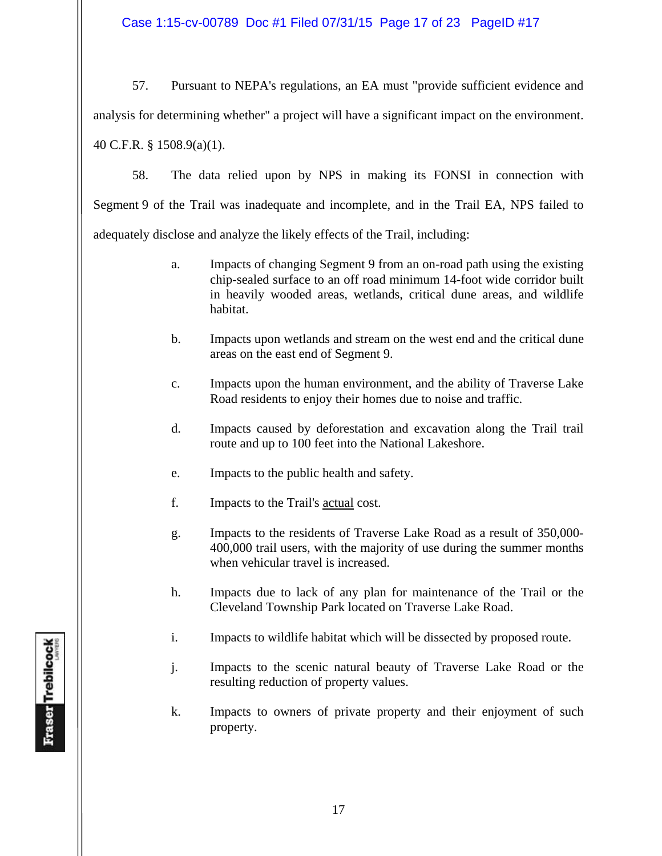Case 1:15-cv-00789 Doc #1 Filed 07/31/15 Page 17 of 23 PageID #17

 57. Pursuant to NEPA's regulations, an EA must "provide sufficient evidence and analysis for determining whether" a project will have a significant impact on the environment. 40 C.F.R. § 1508.9(a)(1).

 58. The data relied upon by NPS in making its FONSI in connection with Segment 9 of the Trail was inadequate and incomplete, and in the Trail EA, NPS failed to adequately disclose and analyze the likely effects of the Trail, including:

- a. Impacts of changing Segment 9 from an on-road path using the existing chip-sealed surface to an off road minimum 14-foot wide corridor built in heavily wooded areas, wetlands, critical dune areas, and wildlife habitat.
- b. Impacts upon wetlands and stream on the west end and the critical dune areas on the east end of Segment 9.
- c. Impacts upon the human environment, and the ability of Traverse Lake Road residents to enjoy their homes due to noise and traffic.
- d. Impacts caused by deforestation and excavation along the Trail trail route and up to 100 feet into the National Lakeshore.
- e. Impacts to the public health and safety.
- f. Impacts to the Trail's actual cost.
- g. Impacts to the residents of Traverse Lake Road as a result of 350,000- 400,000 trail users, with the majority of use during the summer months when vehicular travel is increased.
- h. Impacts due to lack of any plan for maintenance of the Trail or the Cleveland Township Park located on Traverse Lake Road.
- i. Impacts to wildlife habitat which will be dissected by proposed route.
- j. Impacts to the scenic natural beauty of Traverse Lake Road or the resulting reduction of property values.
- k. Impacts to owners of private property and their enjoyment of such property.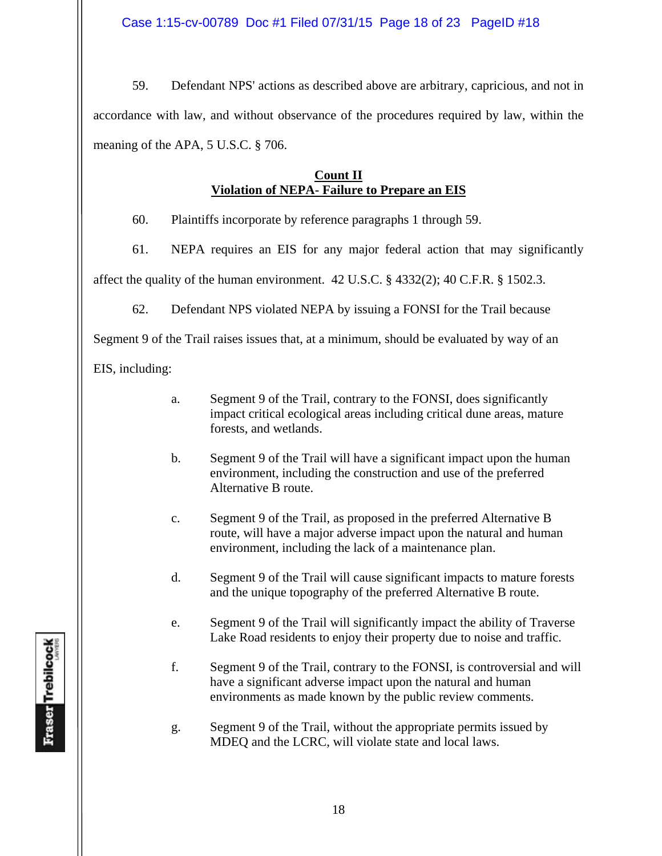59. Defendant NPS' actions as described above are arbitrary, capricious, and not in accordance with law, and without observance of the procedures required by law, within the meaning of the APA, 5 U.S.C. § 706.

# **Count II Violation of NEPA- Failure to Prepare an EIS**

60. Plaintiffs incorporate by reference paragraphs 1 through 59.

61. NEPA requires an EIS for any major federal action that may significantly

affect the quality of the human environment. 42 U.S.C. § 4332(2); 40 C.F.R. § 1502.3.

62. Defendant NPS violated NEPA by issuing a FONSI for the Trail because

Segment 9 of the Trail raises issues that, at a minimum, should be evaluated by way of an

EIS, including:

- a. Segment 9 of the Trail, contrary to the FONSI, does significantly impact critical ecological areas including critical dune areas, mature forests, and wetlands.
- b. Segment 9 of the Trail will have a significant impact upon the human environment, including the construction and use of the preferred Alternative B route.
- c. Segment 9 of the Trail, as proposed in the preferred Alternative B route, will have a major adverse impact upon the natural and human environment, including the lack of a maintenance plan.
- d. Segment 9 of the Trail will cause significant impacts to mature forests and the unique topography of the preferred Alternative B route.
- e. Segment 9 of the Trail will significantly impact the ability of Traverse Lake Road residents to enjoy their property due to noise and traffic.
- f. Segment 9 of the Trail, contrary to the FONSI, is controversial and will have a significant adverse impact upon the natural and human environments as made known by the public review comments.
- g. Segment 9 of the Trail, without the appropriate permits issued by MDEQ and the LCRC, will violate state and local laws.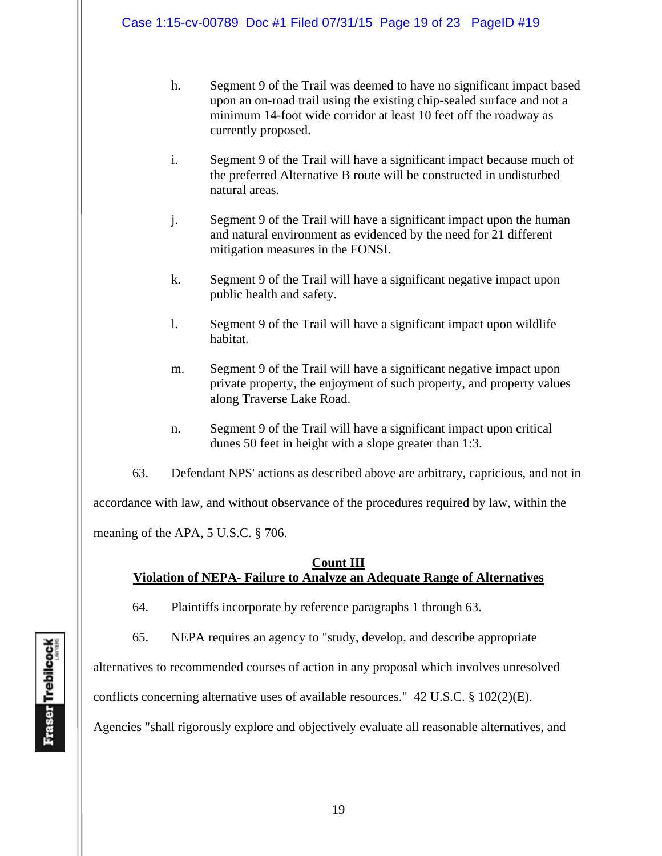- h. Segment 9 of the Trail was deemed to have no significant impact based upon an on-road trail using the existing chip-sealed surface and not a minimum 14-foot wide corridor at least 10 feet off the roadway as currently proposed.
- i. Segment 9 of the Trail will have a significant impact because much of the preferred Alternative B route will be constructed in undisturbed natural areas.
- j. Segment 9 of the Trail will have a significant impact upon the human and natural environment as evidenced by the need for 21 different mitigation measures in the FONSI.
- k. Segment 9 of the Trail will have a significant negative impact upon public health and safety.
- l. Segment 9 of the Trail will have a significant impact upon wildlife habitat.
- m. Segment 9 of the Trail will have a significant negative impact upon private property, the enjoyment of such property, and property values along Traverse Lake Road.
- n. Segment 9 of the Trail will have a significant impact upon critical dunes 50 feet in height with a slope greater than 1:3.
- 63. Defendant NPS' actions as described above are arbitrary, capricious, and not in

accordance with law, and without observance of the procedures required by law, within the

meaning of the APA, 5 U.S.C. § 706.

#### **Count III Violation of NEPA- Failure to Analyze an Adequate Range of Alternatives**

64. Plaintiffs incorporate by reference paragraphs 1 through 63.

65. NEPA requires an agency to "study, develop, and describe appropriate

alternatives to recommended courses of action in any proposal which involves unresolved

conflicts concerning alternative uses of available resources."  $42 \text{ U.S.C.} \& 102(2)(\text{E}).$ 

Agencies "shall rigorously explore and objectively evaluate all reasonable alternatives, and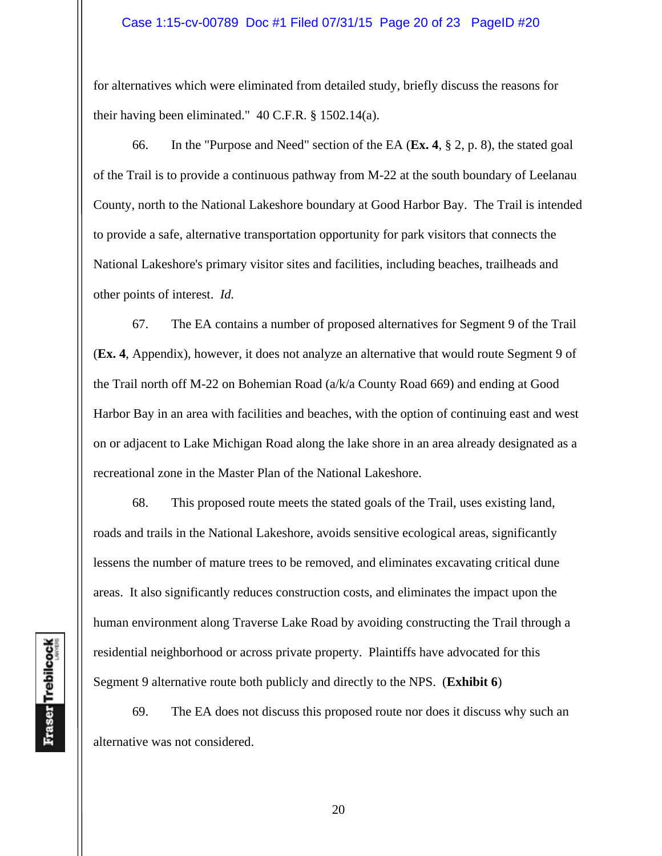#### Case 1:15-cv-00789 Doc #1 Filed 07/31/15 Page 20 of 23 PageID #20

for alternatives which were eliminated from detailed study, briefly discuss the reasons for their having been eliminated." 40 C.F.R. § 1502.14(a).

 66. In the "Purpose and Need" section of the EA (**Ex. 4**, § 2, p. 8), the stated goal of the Trail is to provide a continuous pathway from M-22 at the south boundary of Leelanau County, north to the National Lakeshore boundary at Good Harbor Bay. The Trail is intended to provide a safe, alternative transportation opportunity for park visitors that connects the National Lakeshore's primary visitor sites and facilities, including beaches, trailheads and other points of interest. *Id.*

 67. The EA contains a number of proposed alternatives for Segment 9 of the Trail (**Ex. 4**, Appendix), however, it does not analyze an alternative that would route Segment 9 of the Trail north off M-22 on Bohemian Road (a/k/a County Road 669) and ending at Good Harbor Bay in an area with facilities and beaches, with the option of continuing east and west on or adjacent to Lake Michigan Road along the lake shore in an area already designated as a recreational zone in the Master Plan of the National Lakeshore.

 68. This proposed route meets the stated goals of the Trail, uses existing land, roads and trails in the National Lakeshore, avoids sensitive ecological areas, significantly lessens the number of mature trees to be removed, and eliminates excavating critical dune areas. It also significantly reduces construction costs, and eliminates the impact upon the human environment along Traverse Lake Road by avoiding constructing the Trail through a residential neighborhood or across private property. Plaintiffs have advocated for this Segment 9 alternative route both publicly and directly to the NPS. (**Exhibit 6**)

 69. The EA does not discuss this proposed route nor does it discuss why such an alternative was not considered.

20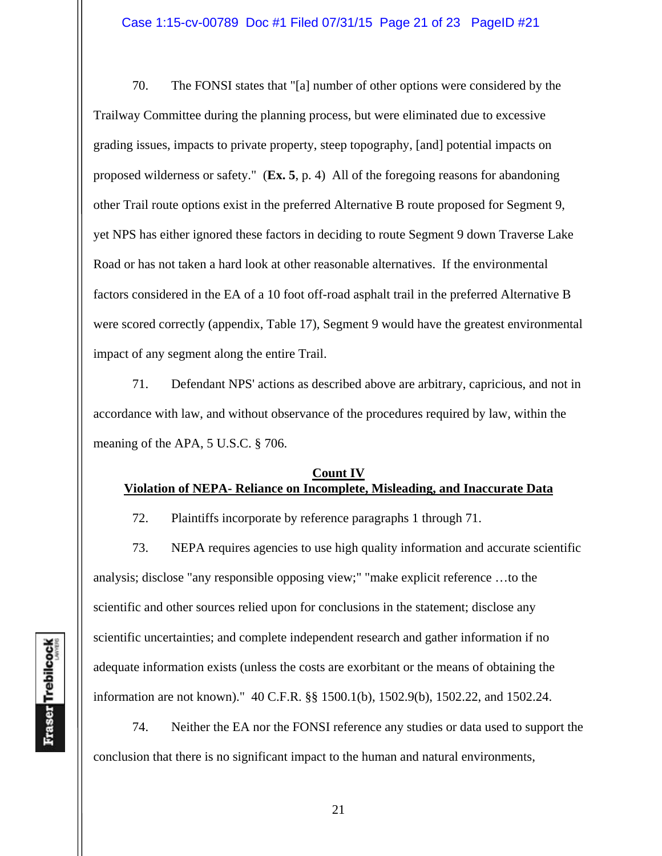70. The FONSI states that "[a] number of other options were considered by the Trailway Committee during the planning process, but were eliminated due to excessive grading issues, impacts to private property, steep topography, [and] potential impacts on proposed wilderness or safety." (**Ex. 5**, p. 4) All of the foregoing reasons for abandoning other Trail route options exist in the preferred Alternative B route proposed for Segment 9, yet NPS has either ignored these factors in deciding to route Segment 9 down Traverse Lake Road or has not taken a hard look at other reasonable alternatives. If the environmental factors considered in the EA of a 10 foot off-road asphalt trail in the preferred Alternative B were scored correctly (appendix, Table 17), Segment 9 would have the greatest environmental impact of any segment along the entire Trail.

 71. Defendant NPS' actions as described above are arbitrary, capricious, and not in accordance with law, and without observance of the procedures required by law, within the meaning of the APA, 5 U.S.C. § 706.

# **Count IV Violation of NEPA- Reliance on Incomplete, Misleading, and Inaccurate Data**

72. Plaintiffs incorporate by reference paragraphs 1 through 71.

 73. NEPA requires agencies to use high quality information and accurate scientific analysis; disclose "any responsible opposing view;" "make explicit reference …to the scientific and other sources relied upon for conclusions in the statement; disclose any scientific uncertainties; and complete independent research and gather information if no adequate information exists (unless the costs are exorbitant or the means of obtaining the information are not known)." 40 C.F.R. §§ 1500.1(b), 1502.9(b), 1502.22, and 1502.24.

 74. Neither the EA nor the FONSI reference any studies or data used to support the conclusion that there is no significant impact to the human and natural environments,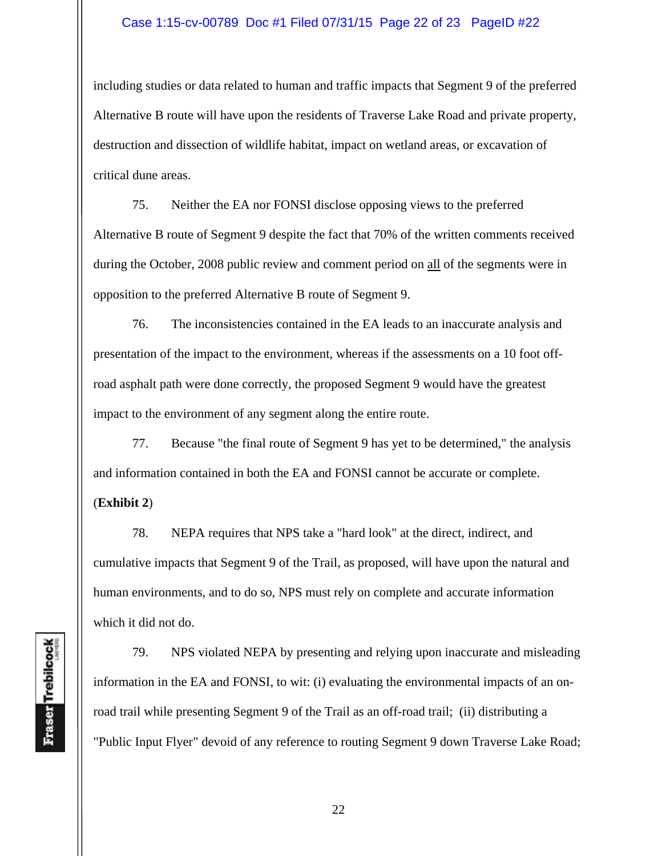#### Case 1:15-cv-00789 Doc #1 Filed 07/31/15 Page 22 of 23 PageID #22

including studies or data related to human and traffic impacts that Segment 9 of the preferred Alternative B route will have upon the residents of Traverse Lake Road and private property, destruction and dissection of wildlife habitat, impact on wetland areas, or excavation of critical dune areas.

 75. Neither the EA nor FONSI disclose opposing views to the preferred Alternative B route of Segment 9 despite the fact that 70% of the written comments received during the October, 2008 public review and comment period on all of the segments were in opposition to the preferred Alternative B route of Segment 9.

76. The inconsistencies contained in the EA leads to an inaccurate analysis and presentation of the impact to the environment, whereas if the assessments on a 10 foot offroad asphalt path were done correctly, the proposed Segment 9 would have the greatest impact to the environment of any segment along the entire route.

 77. Because "the final route of Segment 9 has yet to be determined," the analysis and information contained in both the EA and FONSI cannot be accurate or complete.

(**Exhibit 2**)

 78. NEPA requires that NPS take a "hard look" at the direct, indirect, and cumulative impacts that Segment 9 of the Trail, as proposed, will have upon the natural and human environments, and to do so, NPS must rely on complete and accurate information which it did not do.

 79. NPS violated NEPA by presenting and relying upon inaccurate and misleading information in the EA and FONSI, to wit: (i) evaluating the environmental impacts of an onroad trail while presenting Segment 9 of the Trail as an off-road trail; (ii) distributing a "Public Input Flyer" devoid of any reference to routing Segment 9 down Traverse Lake Road;

Fraser Trebilcock

22